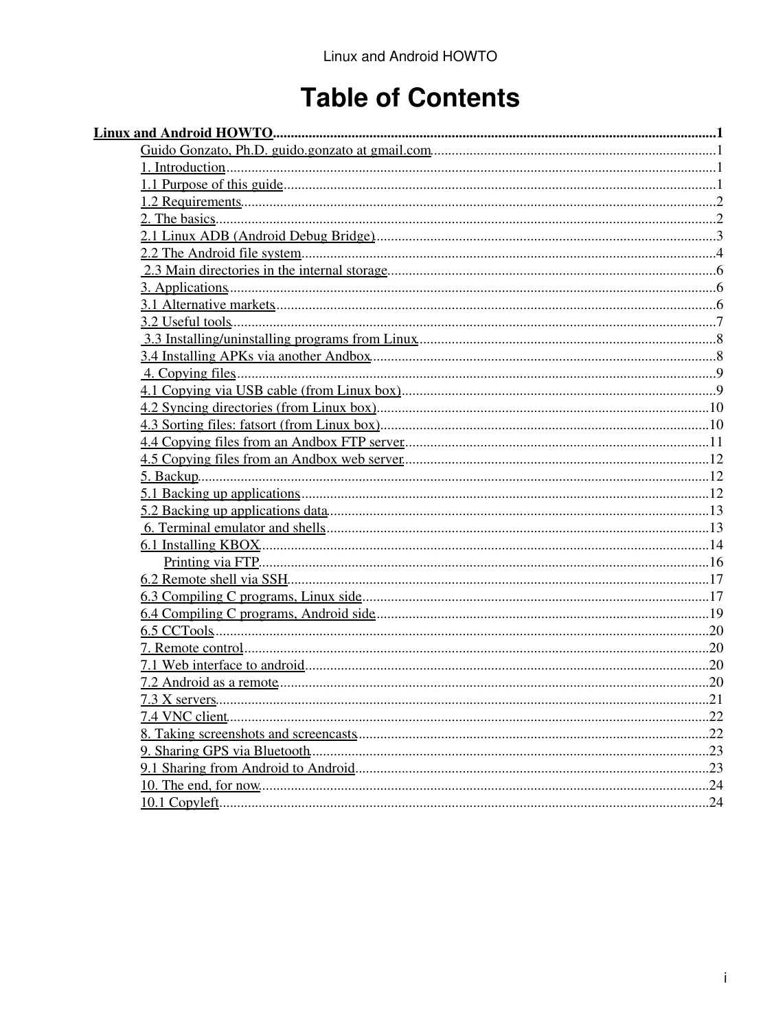# **Table of Contents**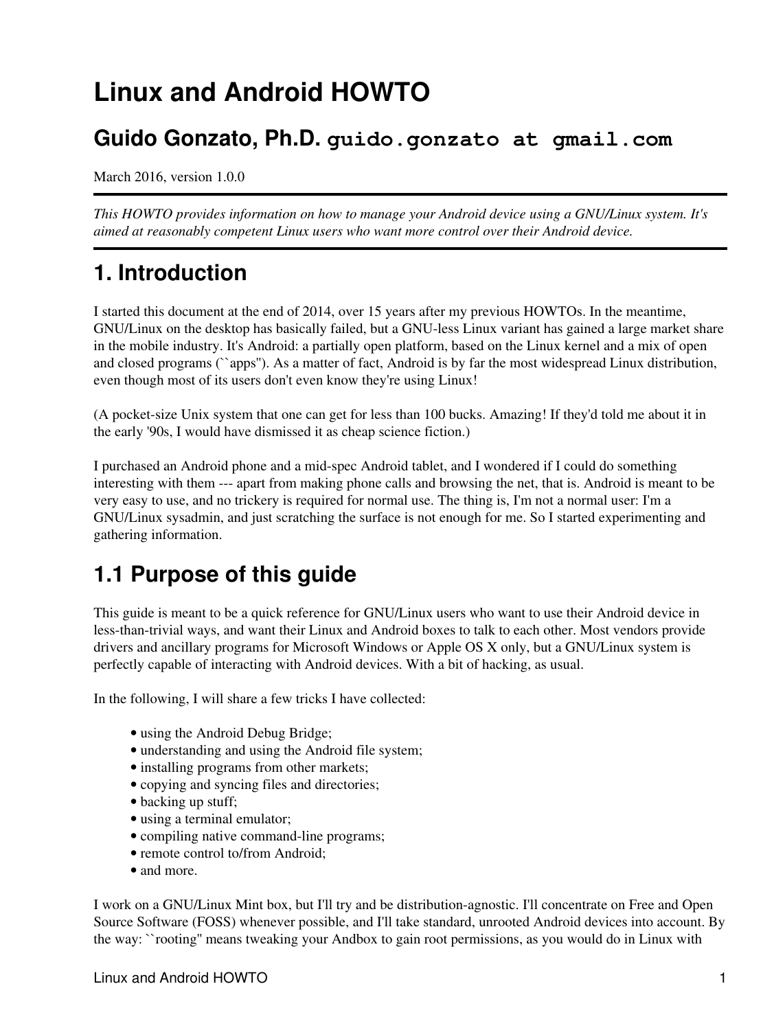## **Guido Gonzato, Ph.D. guido.gonzato at gmail.com**

March 2016, version 1.0.0

*This HOWTO provides information on how to manage your Android device using a GNU/Linux system. It's aimed at reasonably competent Linux users who want more control over their Android device.*

# **1. Introduction**

I started this document at the end of 2014, over 15 years after my previous HOWTOs. In the meantime, GNU/Linux on the desktop has basically failed, but a GNU-less Linux variant has gained a large market share in the mobile industry. It's Android: a partially open platform, based on the Linux kernel and a mix of open and closed programs (``apps''). As a matter of fact, Android is by far the most widespread Linux distribution, even though most of its users don't even know they're using Linux!

(A pocket-size Unix system that one can get for less than 100 bucks. Amazing! If they'd told me about it in the early '90s, I would have dismissed it as cheap science fiction.)

I purchased an Android phone and a mid-spec Android tablet, and I wondered if I could do something interesting with them --- apart from making phone calls and browsing the net, that is. Android is meant to be very easy to use, and no trickery is required for normal use. The thing is, I'm not a normal user: I'm a GNU/Linux sysadmin, and just scratching the surface is not enough for me. So I started experimenting and gathering information.

# **1.1 Purpose of this guide**

This guide is meant to be a quick reference for GNU/Linux users who want to use their Android device in less-than-trivial ways, and want their Linux and Android boxes to talk to each other. Most vendors provide drivers and ancillary programs for Microsoft Windows or Apple OS X only, but a GNU/Linux system is perfectly capable of interacting with Android devices. With a bit of hacking, as usual.

In the following, I will share a few tricks I have collected:

- using the Android Debug Bridge;
- understanding and using the Android file system;
- installing programs from other markets;
- copying and syncing files and directories;
- backing up stuff;
- using a terminal emulator;
- compiling native command-line programs;
- remote control to/from Android;
- and more.

I work on a GNU/Linux Mint box, but I'll try and be distribution-agnostic. I'll concentrate on Free and Open Source Software (FOSS) whenever possible, and I'll take standard, unrooted Android devices into account. By the way: ``rooting'' means tweaking your Andbox to gain root permissions, as you would do in Linux with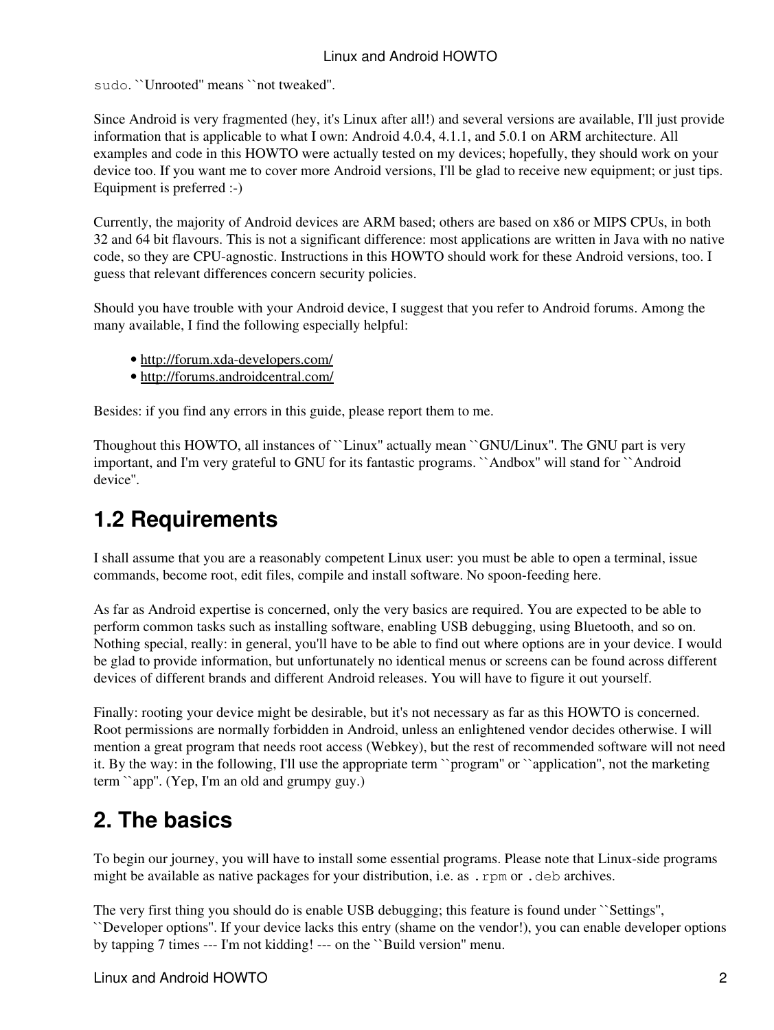sudo. ``Unrooted'' means ``not tweaked''.

Since Android is very fragmented (hey, it's Linux after all!) and several versions are available, I'll just provide information that is applicable to what I own: Android 4.0.4, 4.1.1, and 5.0.1 on ARM architecture. All examples and code in this HOWTO were actually tested on my devices; hopefully, they should work on your device too. If you want me to cover more Android versions, I'll be glad to receive new equipment; or just tips. Equipment is preferred :-)

Currently, the majority of Android devices are ARM based; others are based on x86 or MIPS CPUs, in both 32 and 64 bit flavours. This is not a significant difference: most applications are written in Java with no native code, so they are CPU-agnostic. Instructions in this HOWTO should work for these Android versions, too. I guess that relevant differences concern security policies.

Should you have trouble with your Android device, I suggest that you refer to Android forums. Among the many available, I find the following especially helpful:

- http://forum.xda-developers.com/
- http://forums.androidcentral.com/

Besides: if you find any errors in this guide, please report them to me.

Thoughout this HOWTO, all instances of ``Linux'' actually mean ``GNU/Linux''. The GNU part is very important, and I'm very grateful to GNU for its fantastic programs. ``Andbox'' will stand for ``Android device''.

# **1.2 Requirements**

I shall assume that you are a reasonably competent Linux user: you must be able to open a terminal, issue commands, become root, edit files, compile and install software. No spoon-feeding here.

As far as Android expertise is concerned, only the very basics are required. You are expected to be able to perform common tasks such as installing software, enabling USB debugging, using Bluetooth, and so on. Nothing special, really: in general, you'll have to be able to find out where options are in your device. I would be glad to provide information, but unfortunately no identical menus or screens can be found across different devices of different brands and different Android releases. You will have to figure it out yourself.

Finally: rooting your device might be desirable, but it's not necessary as far as this HOWTO is concerned. Root permissions are normally forbidden in Android, unless an enlightened vendor decides otherwise. I will mention a great program that needs root access (Webkey), but the rest of recommended software will not need it. By the way: in the following, I'll use the appropriate term ``program'' or ``application'', not the marketing term ``app''. (Yep, I'm an old and grumpy guy.)

# **2. The basics**

To begin our journey, you will have to install some essential programs. Please note that Linux-side programs might be available as native packages for your distribution, i.e. as . rpm or . deb archives.

The very first thing you should do is enable USB debugging; this feature is found under ``Settings'',

``Developer options''. If your device lacks this entry (shame on the vendor!), you can enable developer options by tapping 7 times --- I'm not kidding! --- on the ``Build version'' menu.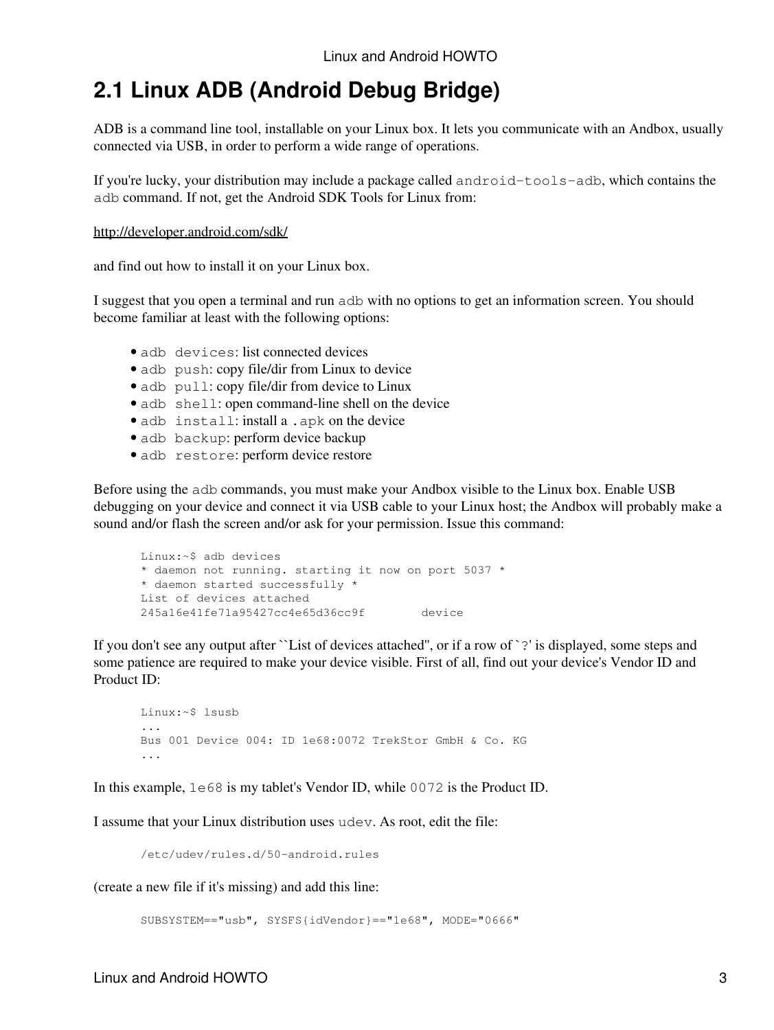# **2.1 Linux ADB (Android Debug Bridge)**

ADB is a command line tool, installable on your Linux box. It lets you communicate with an Andbox, usually connected via USB, in order to perform a wide range of operations.

If you're lucky, your distribution may include a package called android-tools-adb, which contains the adb command. If not, get the Android SDK Tools for Linux from:

#### http://developer.android.com/sdk/

and find out how to install it on your Linux box.

I suggest that you open a terminal and run adb with no options to get an information screen. You should become familiar at least with the following options:

- adb devices: list connected devices
- adb push: copy file/dir from Linux to device
- adb pull: copy file/dir from device to Linux
- adb shell: open command-line shell on the device
- adb install: install a .apk on the device
- adb backup: perform device backup
- adb restore: perform device restore

Before using the adb commands, you must make your Andbox visible to the Linux box. Enable USB debugging on your device and connect it via USB cable to your Linux host; the Andbox will probably make a sound and/or flash the screen and/or ask for your permission. Issue this command:

```
Linux:~$ adb devices
* daemon not running. starting it now on port 5037 *
* daemon started successfully *
List of devices attached 
245a16e41fe71a95427cc4e65d36cc9f device
```
If you don't see any output after ``List of devices attached'', or if a row of `?' is displayed, some steps and some patience are required to make your device visible. First of all, find out your device's Vendor ID and Product ID:

```
Linux:~$ lsusb
...
Bus 001 Device 004: ID 1e68:0072 TrekStor GmbH & Co. KG 
...
```
In this example, 1e68 is my tablet's Vendor ID, while 0072 is the Product ID.

I assume that your Linux distribution uses udev. As root, edit the file:

/etc/udev/rules.d/50-android.rules

(create a new file if it's missing) and add this line:

```
SUBSYSTEM=="usb", SYSFS{idVendor}=="1e68", MODE="0666"
```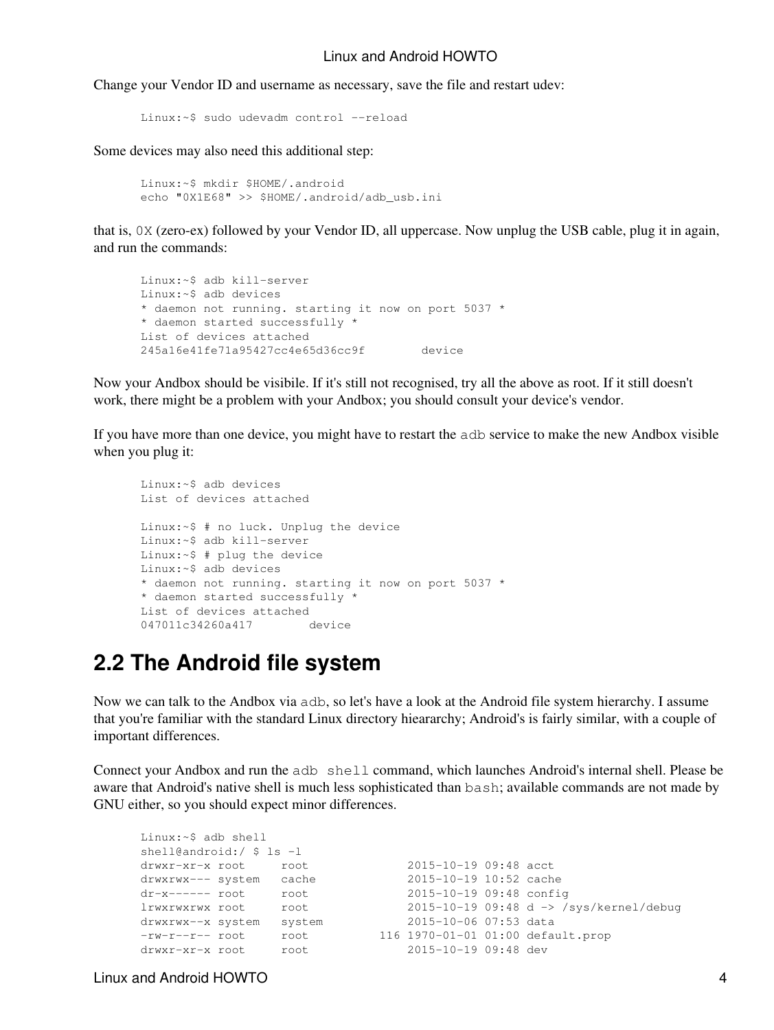Change your Vendor ID and username as necessary, save the file and restart udev:

```
Linux:~$ sudo udevadm control --reload
```
Some devices may also need this additional step:

```
Linux:~$ mkdir $HOME/.android
echo "0X1E68" >> $HOME/.android/adb_usb.ini
```
that is, 0X (zero-ex) followed by your Vendor ID, all uppercase. Now unplug the USB cable, plug it in again, and run the commands:

```
Linux:~$ adb kill-server
Linux:~$ adb devices
* daemon not running. starting it now on port 5037 *
* daemon started successfully *
List of devices attached 
245a16e41fe71a95427cc4e65d36cc9f device
```
Now your Andbox should be visibile. If it's still not recognised, try all the above as root. If it still doesn't work, there might be a problem with your Andbox; you should consult your device's vendor.

If you have more than one device, you might have to restart the adb service to make the new Andbox visible when you plug it:

```
Linux:~$ adb devices
List of devices attached
Linux:~$ # no luck. Unplug the device
Linux:~$ adb kill-server
Linux:~$ # plug the device
Linux:~$ adb devices
* daemon not running. starting it now on port 5037 *
* daemon started successfully *
List of devices attached 
047011c34260a417 device
```
### **2.2 The Android file system**

Now we can talk to the Andbox via adb, so let's have a look at the Android file system hierarchy. I assume that you're familiar with the standard Linux directory hieararchy; Android's is fairly similar, with a couple of important differences.

Connect your Andbox and run the adb shell command, which launches Android's internal shell. Please be aware that Android's native shell is much less sophisticated than bash; available commands are not made by GNU either, so you should expect minor differences.

```
Linux:~$ adb shell
shell@android:/ $ ls -l
drwxr-xr-x root root 2015-10-19 09:48 acct<br>drwxrwx--- system cache 2015-10-19 10:52 cache<br>dr-x------ root root 2015-10-19 09:48 confi
drwxrwx--- system cache 2015-10-19 10:52 cache
dr-x------ root root 2015-10-19 09:48 config
lrwxrwxrwx root root 2015-10-19 09:48 d -> /sys/kernel/debug
drwxrwx--x system system 2015-10-06 07:53 data
-rw-r--r-- root root 116 1970-01-01 01:00 default.prop
drwxr-xr-x root root 2015-10-19 09:48 dev
```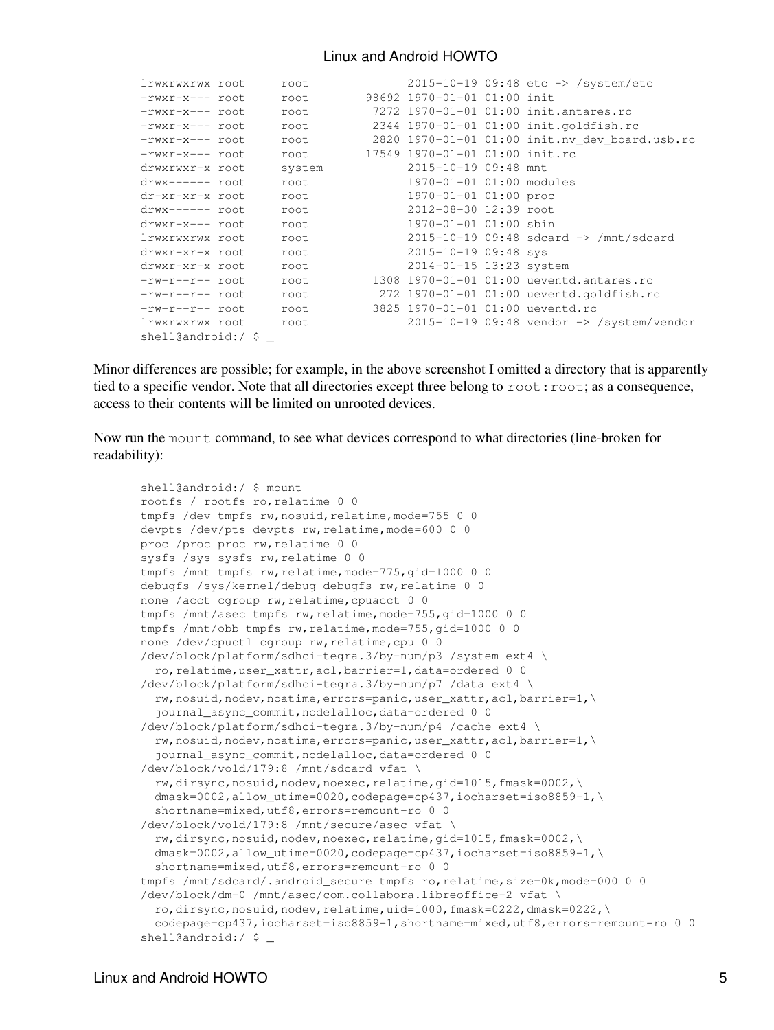| lrwxrwxrwx root    | root   |                                  | $2015 - 10 - 19$ 09:48 etc $\rightarrow$ /system/etc    |
|--------------------|--------|----------------------------------|---------------------------------------------------------|
| -rwxr-x--- root    | root   | 98692 1970-01-01 01:00 init      |                                                         |
| -rwxr-x--- root    | root   |                                  | 7272 1970-01-01 01:00 init.antares.rc                   |
| -rwxr-x--- root    | root   |                                  | 2344 1970-01-01 01:00 init.goldfish.rc                  |
| -rwxr-x--- root    | root   |                                  | 2820 1970-01-01 01:00 init.nv dev board.usb.rc          |
| -rwxr-x--- root    | root   | 17549 1970-01-01 01:00 init.rc   |                                                         |
| drwxrwxr-x root    | system | 2015-10-19 09:48 mnt             |                                                         |
| drwx------ root    | root   | 1970-01-01 01:00 modules         |                                                         |
| dr-xr-xr-x root    | root   | 1970-01-01 01:00 proc            |                                                         |
| drwx------ root    | root   | 2012-08-30 12:39 root            |                                                         |
| drwxr-x--- root    | root   | 1970-01-01 01:00 sbin            |                                                         |
| lrwxrwxrwx root    | root   |                                  | $2015 - 10 - 19$ 09:48 sdcard $\rightarrow$ /mnt/sdcard |
| drwxr-xr-x root    | root   | 2015-10-19 09:48 sys             |                                                         |
| drwxr-xr-x root    | root   | 2014-01-15 13:23 system          |                                                         |
| -rw-r--r-- root    | root   |                                  | 1308 1970-01-01 01:00 ueventd.antares.rc                |
| -rw-r--r-- root    | root   |                                  | 272 1970-01-01 01:00 ueventd.goldfish.rc                |
| -rw-r--r-- root    | root   | 3825 1970-01-01 01:00 ueventd.rc |                                                         |
| lrwxrwxrwx root    | root   |                                  | $2015-10-19$ 09:48 vendor $\rightarrow$ /system/vendor  |
| shell@android:/ \$ |        |                                  |                                                         |

Minor differences are possible; for example, in the above screenshot I omitted a directory that is apparently tied to a specific vendor. Note that all directories except three belong to  $root:root;$  as a consequence, access to their contents will be limited on unrooted devices.

Now run the mount command, to see what devices correspond to what directories (line-broken for readability):

```
shell@android:/ $ mount
rootfs / rootfs ro,relatime 0 0
tmpfs /dev tmpfs rw, nosuid, relatime, mode=755 0 0
devpts /dev/pts devpts rw, relatime, mode=600 0 0
proc /proc proc rw, relatime 0 0
sysfs /sys sysfs rw,relatime 0 0
tmpfs /mnt tmpfs rw, relatime, mode=775, gid=1000 0 0
debugfs /sys/kernel/debug debugfs rw, relatime 0 0
none /acct cgroup rw, relatime, cpuacct 0 0
tmpfs /mnt/asec tmpfs rw, relatime, mode=755, gid=1000 0 0
tmpfs /mnt/obb tmpfs rw, relatime, mode=755, gid=1000 0 0
none /dev/cpuctl cgroup rw,relatime,cpu 0 0
/dev/block/platform/sdhci-tegra.3/by-num/p3 /system ext4 \
   ro,relatime,user_xattr,acl,barrier=1,data=ordered 0 0
/dev/block/platform/sdhci-tegra.3/by-num/p7 /data ext4 \
   rw,nosuid,nodev,noatime,errors=panic,user_xattr,acl,barrier=1,\
   journal_async_commit,nodelalloc,data=ordered 0 0
/dev/block/platform/sdhci-tegra.3/by-num/p4 /cache ext4 \
   rw,nosuid,nodev,noatime,errors=panic,user_xattr,acl,barrier=1,\
  journal async commit, nodelalloc, data=ordered 0 0
/dev/block/vold/179:8 /mnt/sdcard vfat \
   rw,dirsync,nosuid,nodev,noexec,relatime,gid=1015,fmask=0002,\
   dmask=0002,allow_utime=0020,codepage=cp437,iocharset=iso8859-1,\
  shortname=mixed, utf8, errors=remount-ro 0 0
/dev/block/vold/179:8 /mnt/secure/asec vfat \
  rw,dirsync,nosuid,nodev,noexec,relatime,qid=1015,fmask=0002,\
  dmask=0002,allow_utime=0020,codepage=cp437,iocharset=iso8859-1,\
  shortname=mixed,utf8,errors=remount-ro 0 0
tmpfs /mnt/sdcard/.android_secure tmpfs ro, relatime, size=0k, mode=000 0 0
/dev/block/dm-0 /mnt/asec/com.collabora.libreoffice-2 vfat \
   ro,dirsync,nosuid,nodev,relatime,uid=1000,fmask=0222,dmask=0222,\
   codepage=cp437,iocharset=iso8859-1,shortname=mixed,utf8,errors=remount-ro 0 0
shell@android:/ $ _
```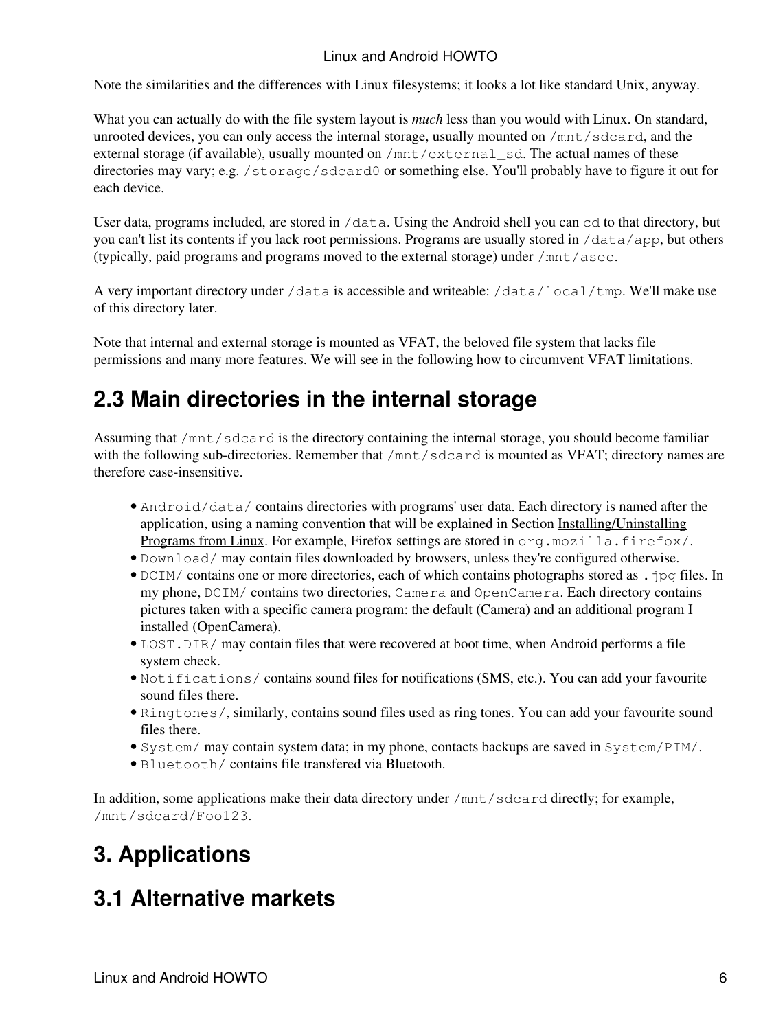Note the similarities and the differences with Linux filesystems; it looks a lot like standard Unix, anyway.

What you can actually do with the file system layout is *much* less than you would with Linux. On standard, unrooted devices, you can only access the internal storage, usually mounted on /mnt/sdcard, and the external storage (if available), usually mounted on  $/$ mnt $/$ external sd. The actual names of these directories may vary; e.g. /storage/sdcard0 or something else. You'll probably have to figure it out for each device.

User data, programs included, are stored in /data. Using the Android shell you can cd to that directory, but you can't list its contents if you lack root permissions. Programs are usually stored in /data/app, but others (typically, paid programs and programs moved to the external storage) under /mnt/asec.

A very important directory under /data is accessible and writeable: /data/local/tmp. We'll make use of this directory later.

Note that internal and external storage is mounted as VFAT, the beloved file system that lacks file permissions and many more features. We will see in the following how to circumvent VFAT limitations.

# **2.3 Main directories in the internal storage**

Assuming that /mnt/sdcard is the directory containing the internal storage, you should become familiar with the following sub-directories. Remember that /mnt/sdcard is mounted as VFAT; directory names are therefore case-insensitive.

- Android/data/ contains directories with programs' user data. Each directory is named after the application, using a naming convention that will be explained in Section Installing/Uninstalling Programs from Linux. For example, Firefox settings are stored in org.mozilla.firefox/.
- Download/ may contain files downloaded by browsers, unless they're configured otherwise.
- DCIM/ contains one or more directories, each of which contains photographs stored as . jpg files. In my phone, DCIM/ contains two directories, Camera and OpenCamera. Each directory contains pictures taken with a specific camera program: the default (Camera) and an additional program I installed (OpenCamera).
- LOST. DIR/ may contain files that were recovered at boot time, when Android performs a file system check.
- Notifications/ contains sound files for notifications (SMS, etc.). You can add your favourite sound files there.
- Ringtones/, similarly, contains sound files used as ring tones. You can add your favourite sound files there.
- System/ may contain system data; in my phone, contacts backups are saved in System/PIM/.
- Bluet oot h / contains file transfered via Bluetooth.

In addition, some applications make their data directory under /mnt/sdcard directly; for example, /mnt/sdcard/Foo123.

# **3. Applications**

# **3.1 Alternative markets**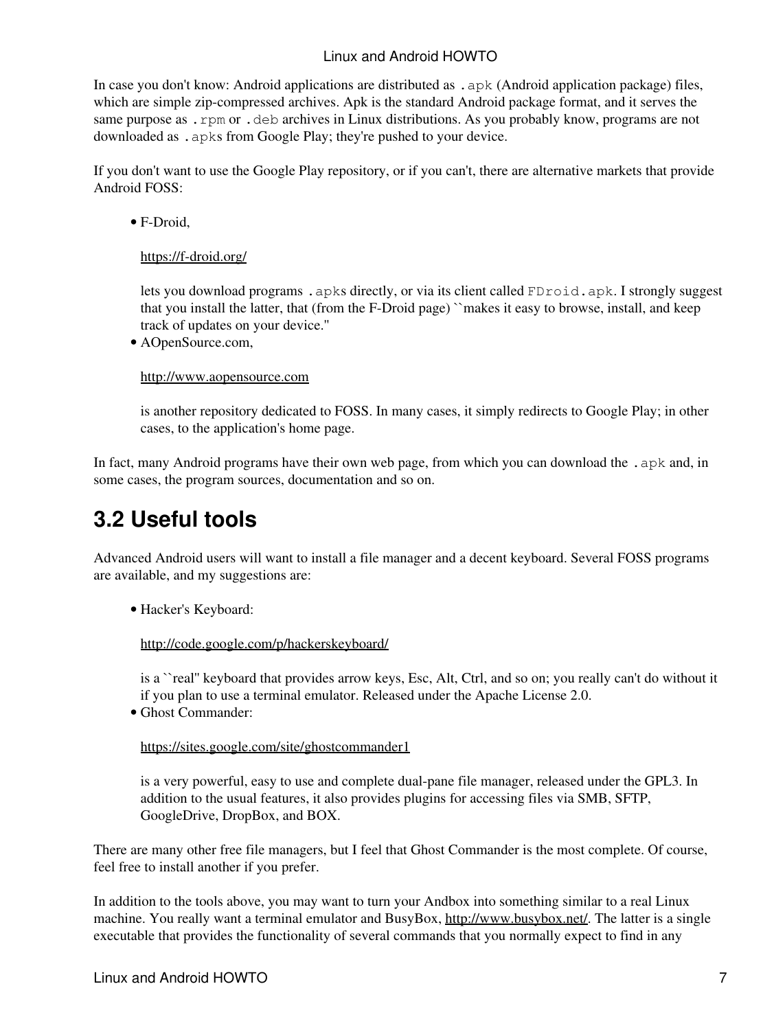In case you don't know: Android applications are distributed as .  $apk$  (Android application package) files, which are simple zip-compressed archives. Apk is the standard Android package format, and it serves the same purpose as .rpm or .deb archives in Linux distributions. As you probably know, programs are not downloaded as .apks from Google Play; they're pushed to your device.

If you don't want to use the Google Play repository, or if you can't, there are alternative markets that provide Android FOSS:

F-Droid, •

### https://f-droid.org/

lets you download programs . apks directly, or via its client called FDroid. apk. I strongly suggest that you install the latter, that (from the F-Droid page) ``makes it easy to browse, install, and keep track of updates on your device.''

AOpenSource.com, •

### http://www.aopensource.com

is another repository dedicated to FOSS. In many cases, it simply redirects to Google Play; in other cases, to the application's home page.

In fact, many Android programs have their own web page, from which you can download the . apk and, in some cases, the program sources, documentation and so on.

## **3.2 Useful tools**

Advanced Android users will want to install a file manager and a decent keyboard. Several FOSS programs are available, and my suggestions are:

Hacker's Keyboard: •

http://code.google.com/p/hackerskeyboard/

is a ``real'' keyboard that provides arrow keys, Esc, Alt, Ctrl, and so on; you really can't do without it if you plan to use a terminal emulator. Released under the Apache License 2.0.

Ghost Commander: •

### https://sites.google.com/site/ghostcommander1

is a very powerful, easy to use and complete dual-pane file manager, released under the GPL3. In addition to the usual features, it also provides plugins for accessing files via SMB, SFTP, GoogleDrive, DropBox, and BOX.

There are many other free file managers, but I feel that Ghost Commander is the most complete. Of course, feel free to install another if you prefer.

In addition to the tools above, you may want to turn your Andbox into something similar to a real Linux machine. You really want a terminal emulator and BusyBox, http://www.busybox.net/. The latter is a single executable that provides the functionality of several commands that you normally expect to find in any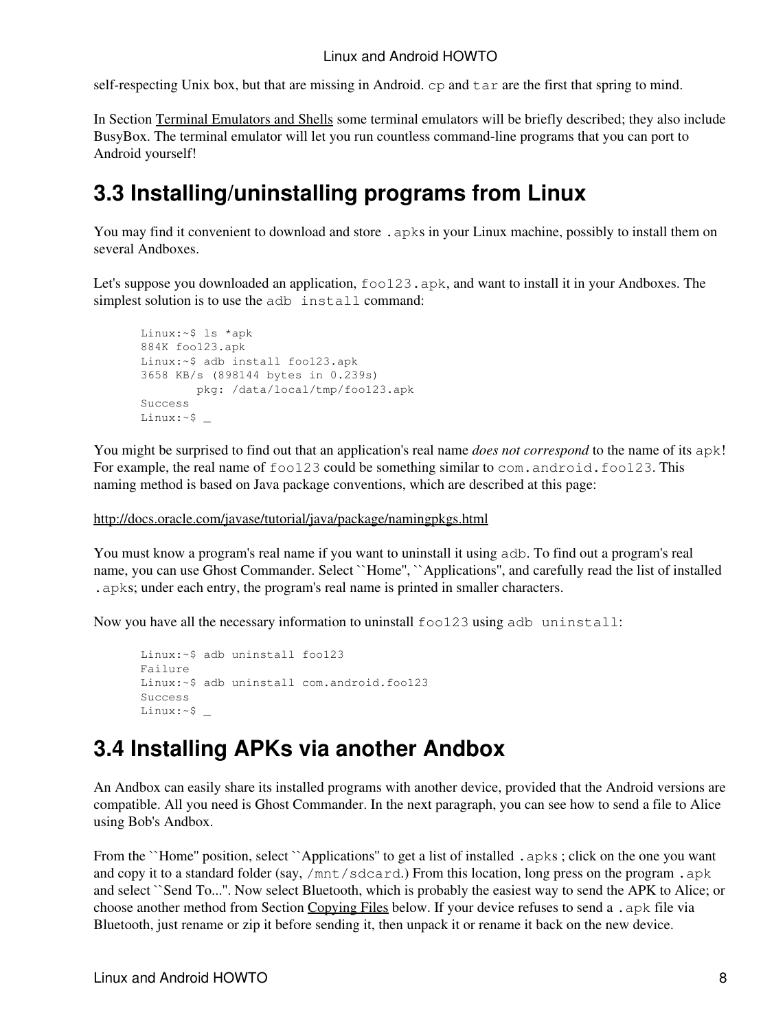self-respecting Unix box, but that are missing in Android. cp and tar are the first that spring to mind.

In Section Terminal Emulators and Shells some terminal emulators will be briefly described; they also include BusyBox. The terminal emulator will let you run countless command-line programs that you can port to Android yourself!

# **3.3 Installing/uninstalling programs from Linux**

You may find it convenient to download and store . apks in your Linux machine, possibly to install them on several Andboxes.

Let's suppose you downloaded an application,  $f \circ 123$ . apk, and want to install it in your Andboxes. The simplest solution is to use the adb install command:

```
Linux:~$ ls *apk
884K foo123.apk
Linux:~$ adb install foo123.apk
3658 KB/s (898144 bytes in 0.239s)
        pkg: /data/local/tmp/foo123.apk
Success
Linux:~$ _
```
You might be surprised to find out that an application's real name *does not correspond* to the name of its apk! For example, the real name of  $f \circ 123$  could be something similar to com. android.  $f \circ 123$ . This naming method is based on Java package conventions, which are described at this page:

### http://docs.oracle.com/javase/tutorial/java/package/namingpkgs.html

You must know a program's real name if you want to uninstall it using adb. To find out a program's real name, you can use Ghost Commander. Select ``Home'', ``Applications'', and carefully read the list of installed .apks; under each entry, the program's real name is printed in smaller characters.

Now you have all the necessary information to uninstall foo123 using adb uninstall:

```
Linux:~$ adb uninstall foo123
Failure
Linux:~$ adb uninstall com.android.foo123
Success
Linux:~$ _
```
## **3.4 Installing APKs via another Andbox**

An Andbox can easily share its installed programs with another device, provided that the Android versions are compatible. All you need is Ghost Commander. In the next paragraph, you can see how to send a file to Alice using Bob's Andbox.

From the ``Home'' position, select ``Applications'' to get a list of installed .apks; click on the one you want and copy it to a standard folder (say, /mnt/sdcard.) From this location, long press on the program .apk and select ``Send To...''. Now select Bluetooth, which is probably the easiest way to send the APK to Alice; or choose another method from Section Copying Files below. If your device refuses to send a .apk file via Bluetooth, just rename or zip it before sending it, then unpack it or rename it back on the new device.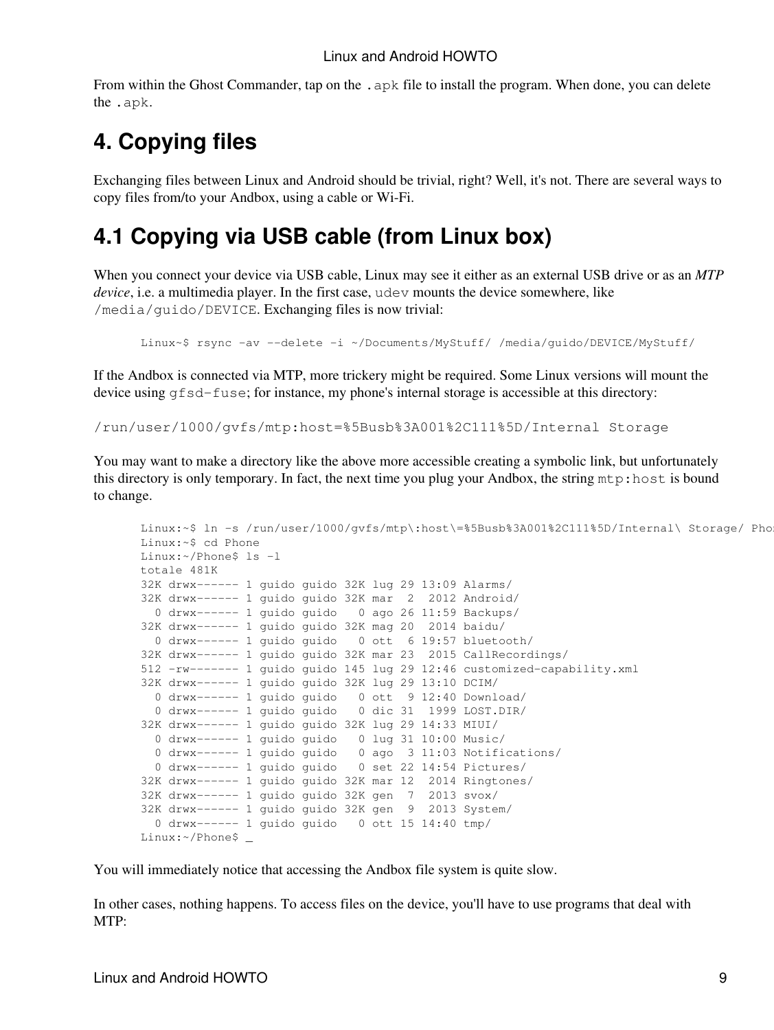From within the Ghost Commander, tap on the .apk file to install the program. When done, you can delete the .apk.

# **4. Copying files**

Exchanging files between Linux and Android should be trivial, right? Well, it's not. There are several ways to copy files from/to your Andbox, using a cable or Wi-Fi.

# **4.1 Copying via USB cable (from Linux box)**

When you connect your device via USB cable, Linux may see it either as an external USB drive or as an *MTP device*, i.e. a multimedia player. In the first case, udev mounts the device somewhere, like /media/guido/DEVICE. Exchanging files is now trivial:

```
Linux~$ rsync -av --delete -i ~/Documents/MyStuff/ /media/guido/DEVICE/MyStuff/
```
If the Andbox is connected via MTP, more trickery might be required. Some Linux versions will mount the device using  $qfsd-fuse$ ; for instance, my phone's internal storage is accessible at this directory:

/run/user/1000/gvfs/mtp:host=%5Busb%3A001%2C111%5D/Internal Storage

You may want to make a directory like the above more accessible creating a symbolic link, but unfortunately this directory is only temporary. In fact, the next time you plug your Andbox, the string mtp:host is bound to change.

```
Linux:~$ ln -s /run/user/1000/qvfs/mtp\:host\=%5Busb%3A001%2C111%5D/Internal\ Storage/ Pho
Linux:~$ cd Phone
Linux:~/Phone$ ls -l
totale 481K
32K drwx------ 1 guido guido 32K lug 29 13:09 Alarms/
32K drwx------ 1 guido guido 32K mar 2 2012 Android/
  0 drwx------ 1 guido guido 0 ago 26 11:59 Backups/
32K drwx------ 1 guido guido 32K mag 20 2014 baidu/
  0 drwx------ 1 guido guido 0 ott 6 19:57 bluetooth/
32K drwx------ 1 guido guido 32K mar 23 2015 CallRecordings/
512 -rw------- 1 guido guido 145 lug 29 12:46 customized-capability.xml
32K drwx------ 1 guido guido 32K lug 29 13:10 DCIM/
  0 drwx------ 1 guido guido 0 ott 9 12:40 Download/
  0 drwx------ 1 guido guido 0 dic 31 1999 LOST.DIR/
32K drwx------ 1 guido guido 32K lug 29 14:33 MIUI/
  0 drwx------ 1 guido guido 0 lug 31 10:00 Music/
  0 drwx------ 1 guido guido 0 ago 3 11:03 Notifications/
  0 drwx------ 1 guido guido 0 set 22 14:54 Pictures/
32K drwx------ 1 guido guido 32K mar 12 2014 Ringtones/
32K drwx------ 1 guido guido 32K gen 7 2013 svox/
32K drwx------ 1 guido guido 32K gen 9 2013 System/
  0 drwx------ 1 guido guido 0 ott 15 14:40 tmp/
Linux:~/Phone$ _
```
You will immediately notice that accessing the Andbox file system is quite slow.

In other cases, nothing happens. To access files on the device, you'll have to use programs that deal with MTP: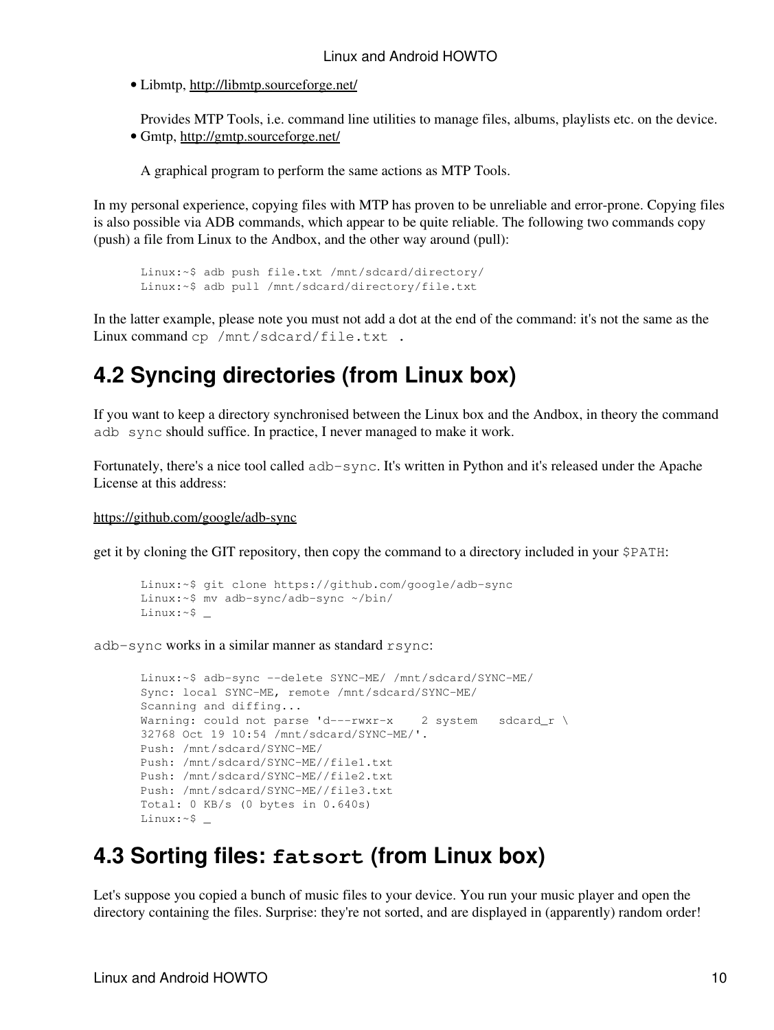• Libmtp, http://libmtp.sourceforge.net/

Provides MTP Tools, i.e. command line utilities to manage files, albums, playlists etc. on the device. • Gmtp, http://gmtp.sourceforge.net/

A graphical program to perform the same actions as MTP Tools.

In my personal experience, copying files with MTP has proven to be unreliable and error-prone. Copying files is also possible via ADB commands, which appear to be quite reliable. The following two commands copy (push) a file from Linux to the Andbox, and the other way around (pull):

```
Linux:~$ adb push file.txt /mnt/sdcard/directory/
Linux:~$ adb pull /mnt/sdcard/directory/file.txt
```
In the latter example, please note you must not add a dot at the end of the command: it's not the same as the Linux command cp /mnt/sdcard/file.txt .

## **4.2 Syncing directories (from Linux box)**

If you want to keep a directory synchronised between the Linux box and the Andbox, in theory the command adb sync should suffice. In practice, I never managed to make it work.

Fortunately, there's a nice tool called adb-sync. It's written in Python and it's released under the Apache License at this address:

https://github.com/google/adb-sync

get it by cloning the GIT repository, then copy the command to a directory included in your \$PATH:

```
Linux:~$ git clone https://github.com/google/adb-sync
Linux:~$ mv adb-sync/adb-sync ~/bin/
Linux:~$ _
```
adb-sync works in a similar manner as standard rsync:

```
Linux:~$ adb-sync --delete SYNC-ME/ /mnt/sdcard/SYNC-ME/
Sync: local SYNC-ME, remote /mnt/sdcard/SYNC-ME/
Scanning and diffing...
Warning: could not parse 'd---rwxr-x 2 system sdcard_r \
32768 Oct 19 10:54 /mnt/sdcard/SYNC-ME/'.
Push: /mnt/sdcard/SYNC-ME/
Push: /mnt/sdcard/SYNC-ME//file1.txt
Push: /mnt/sdcard/SYNC-ME//file2.txt
Push: /mnt/sdcard/SYNC-ME//file3.txt
Total: 0 KB/s (0 bytes in 0.640s)
Linux:~$ _
```
## **4.3 Sorting files: fatsort (from Linux box)**

Let's suppose you copied a bunch of music files to your device. You run your music player and open the directory containing the files. Surprise: they're not sorted, and are displayed in (apparently) random order!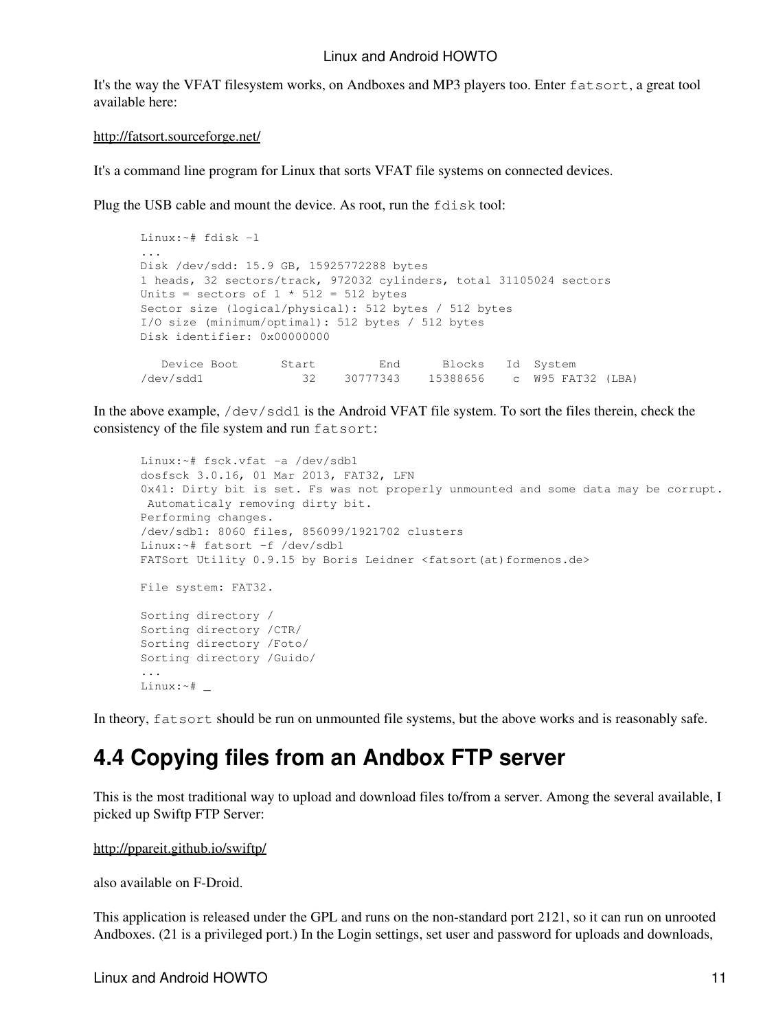It's the way the VFAT filesystem works, on Andboxes and MP3 players too. Enter fatsort, a great tool available here:

#### http://fatsort.sourceforge.net/

It's a command line program for Linux that sorts VFAT file systems on connected devices.

Plug the USB cable and mount the device. As root, run the fdisk tool:

```
Linux:~# fdisk -l
...
Disk /dev/sdd: 15.9 GB, 15925772288 bytes
1 heads, 32 sectors/track, 972032 cylinders, total 31105024 sectors
Units = sectors of 1 * 512 = 512 bytes
Sector size (logical/physical): 512 bytes / 512 bytes
I/O size (minimum/optimal): 512 bytes / 512 bytes
Disk identifier: 0x00000000
 Device Boot Start End Blocks Id System
/dev/sdd1 32 30777343 15388656 c W95 FAT32 (LBA)
```
In the above example,  $/$ dev $/$ sdd1 is the Android VFAT file system. To sort the files therein, check the consistency of the file system and run fatsort:

```
Linux:~# fsck.vfat -a /dev/sdb1
dosfsck 3.0.16, 01 Mar 2013, FAT32, LFN
0x41: Dirty bit is set. Fs was not properly unmounted and some data may be corrupt.
 Automaticaly removing dirty bit.
Performing changes.
/dev/sdb1: 8060 files, 856099/1921702 clusters
Linux:~# fatsort -f /dev/sdb1
FATSort Utility 0.9.15 by Boris Leidner <fatsort(at)formenos.de>
File system: FAT32.
Sorting directory /
Sorting directory /CTR/
Sorting directory /Foto/
Sorting directory /Guido/
...
Linux:~# _
```
In theory, fatsort should be run on unmounted file systems, but the above works and is reasonably safe.

## **4.4 Copying files from an Andbox FTP server**

This is the most traditional way to upload and download files to/from a server. Among the several available, I picked up Swiftp FTP Server:

http://ppareit.github.io/swiftp/

also available on F-Droid.

This application is released under the GPL and runs on the non-standard port 2121, so it can run on unrooted Andboxes. (21 is a privileged port.) In the Login settings, set user and password for uploads and downloads,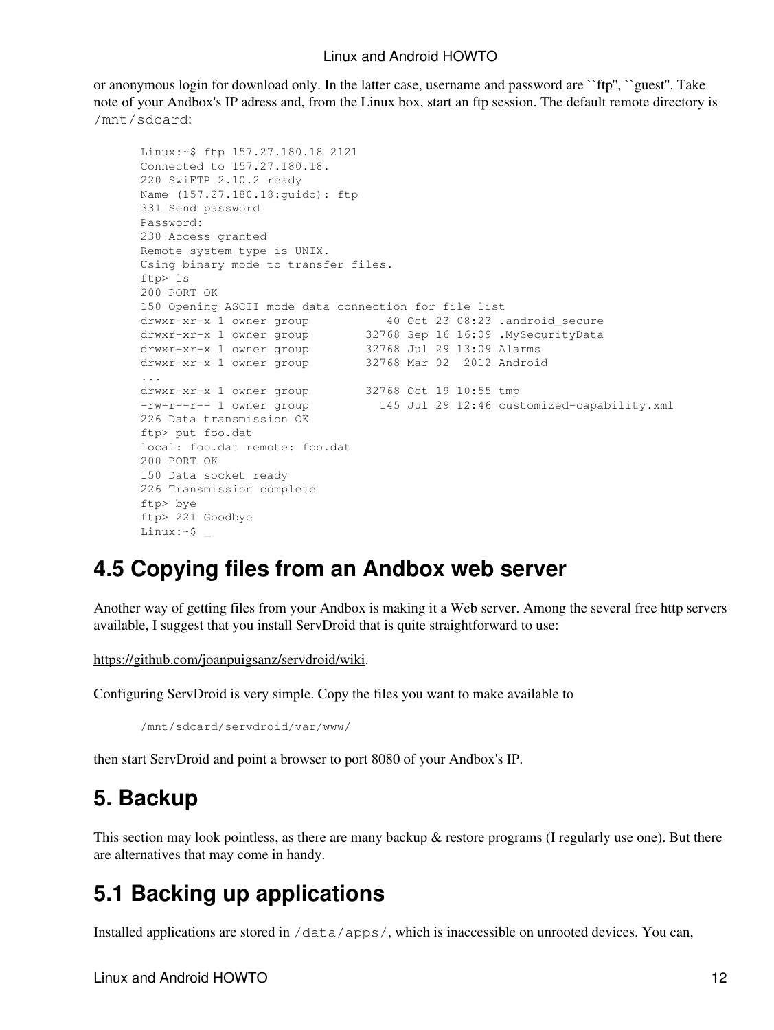or anonymous login for download only. In the latter case, username and password are ``ftp'', ``guest''. Take note of your Andbox's IP adress and, from the Linux box, start an ftp session. The default remote directory is /mnt/sdcard:

```
Linux:~$ ftp 157.27.180.18 2121
Connected to 157.27.180.18.
220 SwiFTP 2.10.2 ready
Name (157.27.180.18:guido): ftp
331 Send password
Password:
230 Access granted
Remote system type is UNIX.
Using binary mode to transfer files.
ftp> ls
200 PORT OK
150 Opening ASCII mode data connection for file list
drwxr-xr-x 1 owner group 40 Oct 23 08:23 .android_secure
drwxr-xr-x 1 owner group 32768 Sep 16 16:09 .MySecurityData
drwxr-xr-x 1 owner group 32768 Jul 29 13:09 Alarms
drwxr-xr-x 1 owner group 32768 Mar 02 2012 Android
...
drwxr-xr-x 1 owner group 32768 Oct 19 10:55 tmp<br>-rw-r--r-- 1 owner group 145 Jul 29 12:46 cus
                                145 Jul 29 12:46 customized-capability.xml
226 Data transmission OK
ftp> put foo.dat
local: foo.dat remote: foo.dat
200 PORT OK
150 Data socket ready
226 Transmission complete
ftp> bye
ftp> 221 Goodbye
Linux:~$ _
```
### **4.5 Copying files from an Andbox web server**

Another way of getting files from your Andbox is making it a Web server. Among the several free http servers available, I suggest that you install ServDroid that is quite straightforward to use:

https://github.com/joanpuigsanz/servdroid/wiki.

Configuring ServDroid is very simple. Copy the files you want to make available to

/mnt/sdcard/servdroid/var/www/

then start ServDroid and point a browser to port 8080 of your Andbox's IP.

### **5. Backup**

This section may look pointless, as there are many backup & restore programs (I regularly use one). But there are alternatives that may come in handy.

## **5.1 Backing up applications**

Installed applications are stored in  $/data/apps/$ , which is inaccessible on unrooted devices. You can,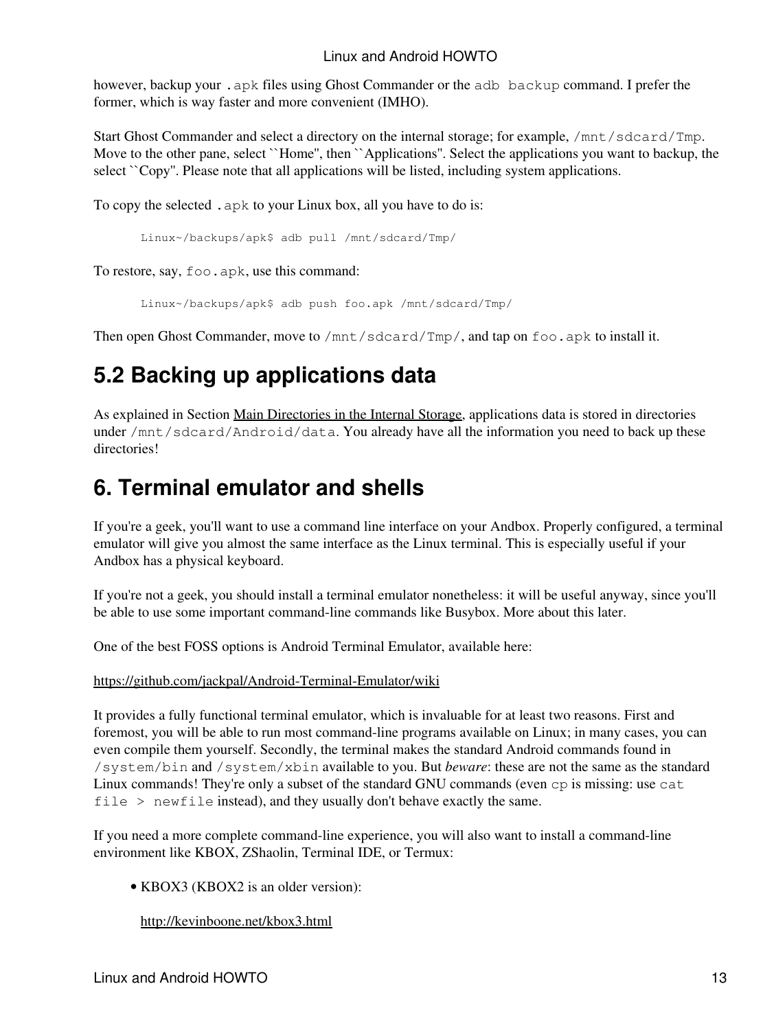however, backup your . apk files using Ghost Commander or the adb backup command. I prefer the former, which is way faster and more convenient (IMHO).

Start Ghost Commander and select a directory on the internal storage; for example, /mnt/sdcard/Tmp. Move to the other pane, select ``Home'', then ``Applications''. Select the applications you want to backup, the select ``Copy''. Please note that all applications will be listed, including system applications.

To copy the selected .apk to your Linux box, all you have to do is:

Linux~/backups/apk\$ adb pull /mnt/sdcard/Tmp/

To restore, say, foo.apk, use this command:

Linux~/backups/apk\$ adb push foo.apk /mnt/sdcard/Tmp/

Then open Ghost Commander, move to  $/$ mnt $/$ sdcard $/$ Tmp $/$ , and tap on foo.apk to install it.

# **5.2 Backing up applications data**

As explained in Section Main Directories in the Internal Storage, applications data is stored in directories under /mnt/sdcard/Android/data. You already have all the information you need to back up these directories!

# **6. Terminal emulator and shells**

If you're a geek, you'll want to use a command line interface on your Andbox. Properly configured, a terminal emulator will give you almost the same interface as the Linux terminal. This is especially useful if your Andbox has a physical keyboard.

If you're not a geek, you should install a terminal emulator nonetheless: it will be useful anyway, since you'll be able to use some important command-line commands like Busybox. More about this later.

One of the best FOSS options is Android Terminal Emulator, available here:

https://github.com/jackpal/Android-Terminal-Emulator/wiki

It provides a fully functional terminal emulator, which is invaluable for at least two reasons. First and foremost, you will be able to run most command-line programs available on Linux; in many cases, you can even compile them yourself. Secondly, the terminal makes the standard Android commands found in /system/bin and /system/xbin available to you. But *beware*: these are not the same as the standard Linux commands! They're only a subset of the standard GNU commands (even cp is missing: use cat file > newfile instead), and they usually don't behave exactly the same.

If you need a more complete command-line experience, you will also want to install a command-line environment like KBOX, ZShaolin, Terminal IDE, or Termux:

• KBOX3 (KBOX2 is an older version):

http://kevinboone.net/kbox3.html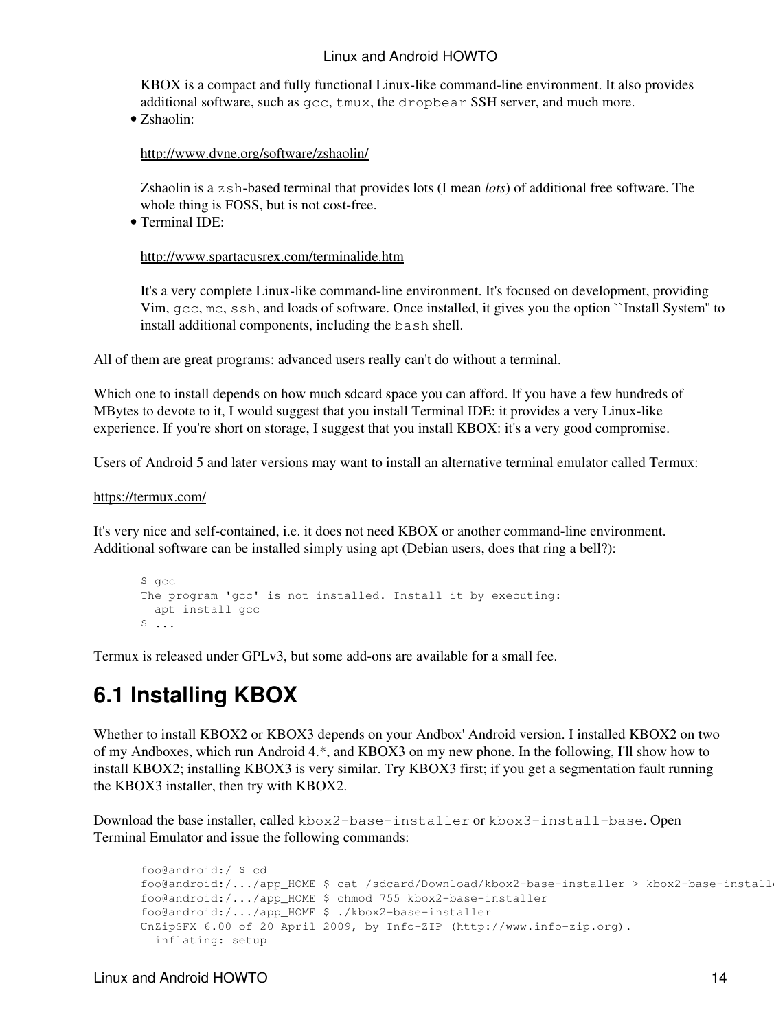KBOX is a compact and fully functional Linux-like command-line environment. It also provides additional software, such as gcc, tmux, the dropbear SSH server, and much more.

• Zshaolin:

http://www.dyne.org/software/zshaolin/

Zshaolin is a zsh-based terminal that provides lots (I mean *lots*) of additional free software. The whole thing is FOSS, but is not cost-free.

• Terminal IDE:

http://www.spartacusrex.com/terminalide.htm

It's a very complete Linux-like command-line environment. It's focused on development, providing Vim, gcc, mc, ssh, and loads of software. Once installed, it gives you the option ``Install System'' to install additional components, including the bash shell.

All of them are great programs: advanced users really can't do without a terminal.

Which one to install depends on how much sdcard space you can afford. If you have a few hundreds of MBytes to devote to it, I would suggest that you install Terminal IDE: it provides a very Linux-like experience. If you're short on storage, I suggest that you install KBOX: it's a very good compromise.

Users of Android 5 and later versions may want to install an alternative terminal emulator called Termux:

#### https://termux.com/

It's very nice and self-contained, i.e. it does not need KBOX or another command-line environment. Additional software can be installed simply using apt (Debian users, does that ring a bell?):

```
$ gcc
The program 'gcc' is not installed. Install it by executing:
  apt install gcc
$ \ldots
```
Termux is released under GPLv3, but some add-ons are available for a small fee.

## **6.1 Installing KBOX**

Whether to install KBOX2 or KBOX3 depends on your Andbox' Android version. I installed KBOX2 on two of my Andboxes, which run Android 4.\*, and KBOX3 on my new phone. In the following, I'll show how to install KBOX2; installing KBOX3 is very similar. Try KBOX3 first; if you get a segmentation fault running the KBOX3 installer, then try with KBOX2.

Download the base installer, called kbox2-base-installer or kbox3-install-base. Open Terminal Emulator and issue the following commands:

```
foo@android:/ $ cd
foo@android:/.../app_HOME $ cat /sdcard/Download/kbox2-base-installer > kbox2-base-install
foo@android:/.../app_HOME $ chmod 755 kbox2-base-installer
foo@android:/.../app_HOME $ ./kbox2-base-installer
UnZipSFX 6.00 of 20 April 2009, by Info-ZIP (http://www.info-zip.org).
   inflating: setup
```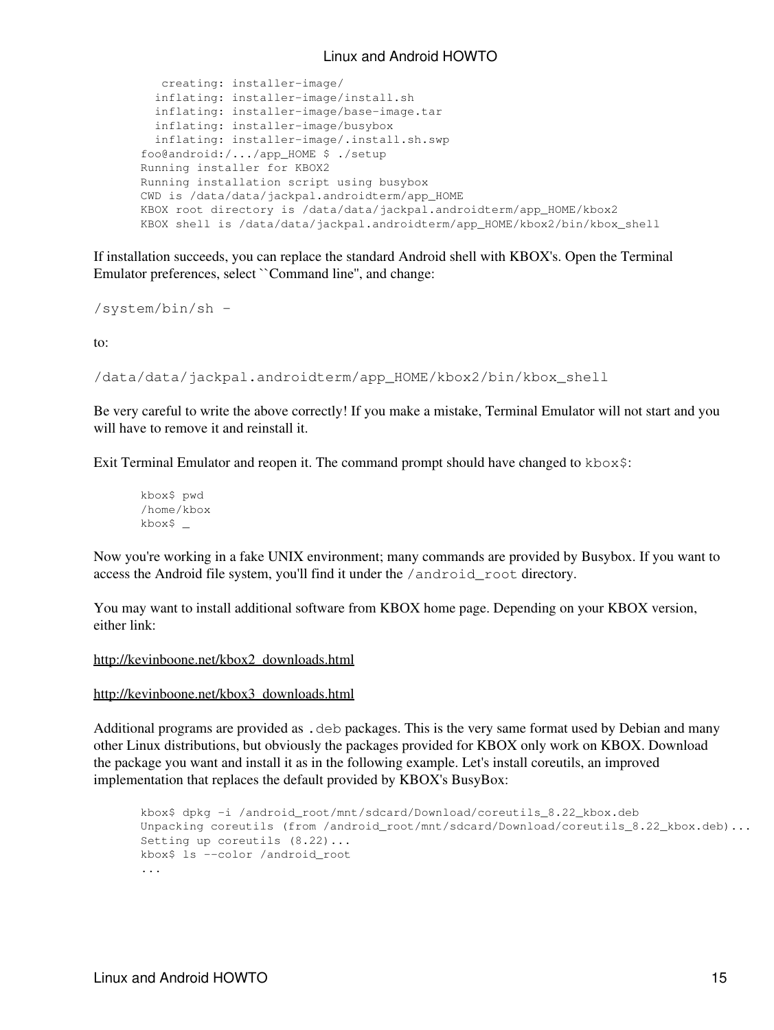```
 creating: installer-image/
  inflating: installer-image/install.sh
  inflating: installer-image/base-image.tar
  inflating: installer-image/busybox
  inflating: installer-image/.install.sh.swp
foo@android:/.../app_HOME $ ./setup
Running installer for KBOX2
Running installation script using busybox
CWD is /data/data/jackpal.androidterm/app_HOME
KBOX root directory is /data/data/jackpal.androidterm/app_HOME/kbox2
KBOX shell is /data/data/jackpal.androidterm/app_HOME/kbox2/bin/kbox_shell
```
If installation succeeds, you can replace the standard Android shell with KBOX's. Open the Terminal Emulator preferences, select ``Command line'', and change:

/system/bin/sh -

to:

```
/data/data/jackpal.androidterm/app_HOME/kbox2/bin/kbox_shell
```
Be very careful to write the above correctly! If you make a mistake, Terminal Emulator will not start and you will have to remove it and reinstall it.

Exit Terminal Emulator and reopen it. The command prompt should have changed to  $k$ box $\hat{s}$ :

kbox\$ pwd /home/kbox kbox\$ \_

Now you're working in a fake UNIX environment; many commands are provided by Busybox. If you want to access the Android file system, you'll find it under the /android\_root directory.

You may want to install additional software from KBOX home page. Depending on your KBOX version, either link:

http://kevinboone.net/kbox2\_downloads.html

#### http://kevinboone.net/kbox3\_downloads.html

Additional programs are provided as . deb packages. This is the very same format used by Debian and many other Linux distributions, but obviously the packages provided for KBOX only work on KBOX. Download the package you want and install it as in the following example. Let's install coreutils, an improved implementation that replaces the default provided by KBOX's BusyBox:

```
kbox$ dpkg -i /android_root/mnt/sdcard/Download/coreutils_8.22_kbox.deb
Unpacking coreutils (from /android_root/mnt/sdcard/Download/coreutils_8.22_kbox.deb)...
Setting up coreutils (8.22)...
kbox$ ls --color /android_root
...
```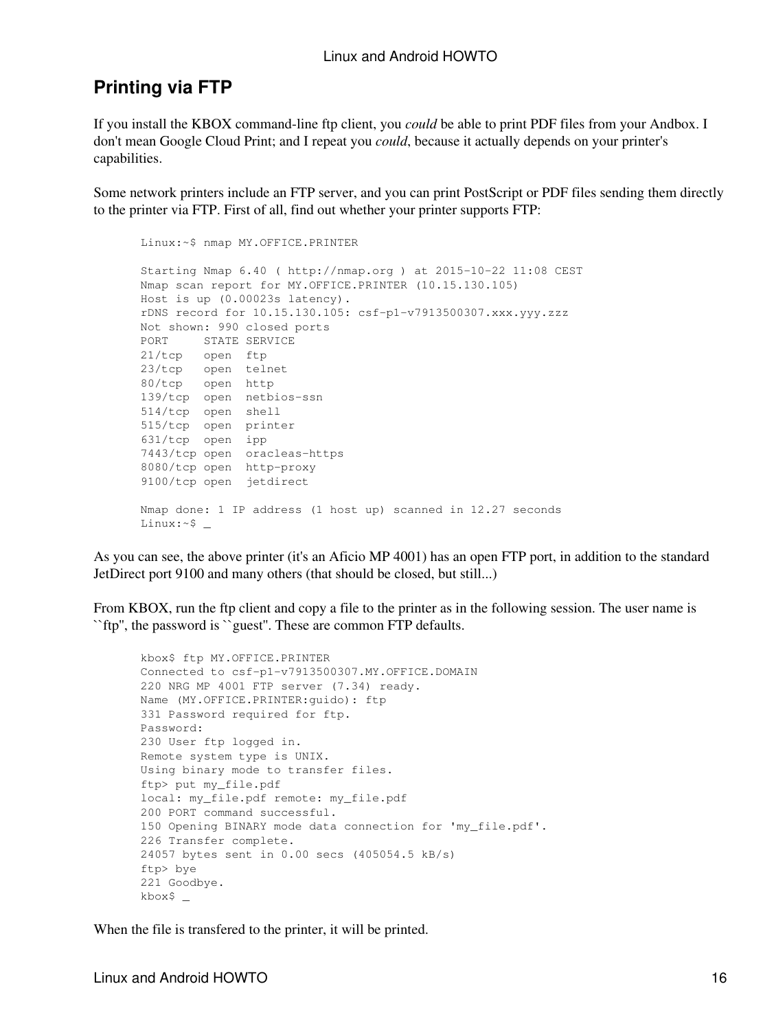### **Printing via FTP**

If you install the KBOX command-line ftp client, you *could* be able to print PDF files from your Andbox. I don't mean Google Cloud Print; and I repeat you *could*, because it actually depends on your printer's capabilities.

Some network printers include an FTP server, and you can print PostScript or PDF files sending them directly to the printer via FTP. First of all, find out whether your printer supports FTP:

```
Linux:~$ nmap MY.OFFICE.PRINTER
Starting Nmap 6.40 ( http://nmap.org ) at 2015-10-22 11:08 CEST
Nmap scan report for MY.OFFICE.PRINTER (10.15.130.105)
Host is up (0.00023s latency).
rDNS record for 10.15.130.105: csf-p1-v7913500307.xxx.yyy.zzz
Not shown: 990 closed ports
PORT STATE SERVICE
21/tcp open ftp
23/tcp open telnet
80/tcp open http
139/tcp open netbios-ssn
514/tcp open shell
515/tcp open printer
631/tcp open ipp
7443/tcp open oracleas-https
8080/tcp open http-proxy
9100/tcp open jetdirect
Nmap done: 1 IP address (1 host up) scanned in 12.27 seconds
Linux:~$ _
```
As you can see, the above printer (it's an Aficio MP 4001) has an open FTP port, in addition to the standard JetDirect port 9100 and many others (that should be closed, but still...)

From KBOX, run the ftp client and copy a file to the printer as in the following session. The user name is ``ftp'', the password is ``guest''. These are common FTP defaults.

```
kbox$ ftp MY.OFFICE.PRINTER
Connected to csf-p1-v7913500307.MY.OFFICE.DOMAIN
220 NRG MP 4001 FTP server (7.34) ready.
Name (MY.OFFICE.PRINTER:guido): ftp
331 Password required for ftp.
Password:
230 User ftp logged in.
Remote system type is UNIX.
Using binary mode to transfer files.
ftp> put my_file.pdf
local: my_file.pdf remote: my_file.pdf
200 PORT command successful.
150 Opening BINARY mode data connection for 'my_file.pdf'.
226 Transfer complete.
24057 bytes sent in 0.00 secs (405054.5 kB/s)
ftp> bye
221 Goodbye.
kbox$ _
```
When the file is transfered to the printer, it will be printed.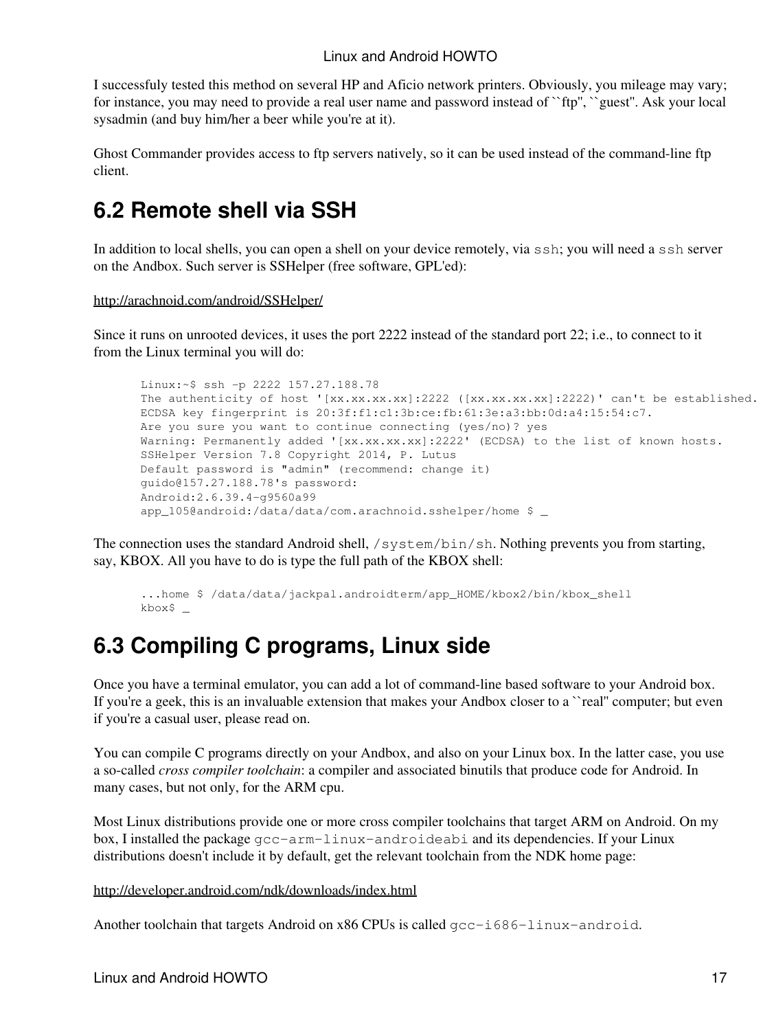I successfuly tested this method on several HP and Aficio network printers. Obviously, you mileage may vary; for instance, you may need to provide a real user name and password instead of ``ftp'', ``guest''. Ask your local sysadmin (and buy him/her a beer while you're at it).

Ghost Commander provides access to ftp servers natively, so it can be used instead of the command-line ftp client.

## **6.2 Remote shell via SSH**

In addition to local shells, you can open a shell on your device remotely, via ssh; you will need a ssh server on the Andbox. Such server is SSHelper (free software, GPL'ed):

#### http://arachnoid.com/android/SSHelper/

Since it runs on unrooted devices, it uses the port 2222 instead of the standard port 22; i.e., to connect to it from the Linux terminal you will do:

```
Linux:~$ ssh -p 2222 157.27.188.78
The authenticity of host '[xx.xx.xx.xx]:2222 ([xx.xx.xx.xx]:2222)' can't be established.
ECDSA key fingerprint is 20:3f:f1:c1:3b:ce:fb:61:3e:a3:bb:0d:a4:15:54:c7.
Are you sure you want to continue connecting (yes/no)? yes
Warning: Permanently added '[xx.xx.xx.xx]:2222' (ECDSA) to the list of known hosts.
SSHelper Version 7.8 Copyright 2014, P. Lutus
Default password is "admin" (recommend: change it)
guido@157.27.188.78's password: 
Android:2.6.39.4-g9560a99
app_105@android:/data/data/com.arachnoid.sshelper/home $ _
```
The connection uses the standard Android shell, /system/bin/sh. Nothing prevents you from starting, say, KBOX. All you have to do is type the full path of the KBOX shell:

```
...home $ /data/data/jackpal.androidterm/app_HOME/kbox2/bin/kbox_shell
kbox$ _
```
## **6.3 Compiling C programs, Linux side**

Once you have a terminal emulator, you can add a lot of command-line based software to your Android box. If you're a geek, this is an invaluable extension that makes your Andbox closer to a "real" computer; but even if you're a casual user, please read on.

You can compile C programs directly on your Andbox, and also on your Linux box. In the latter case, you use a so-called *cross compiler toolchain*: a compiler and associated binutils that produce code for Android. In many cases, but not only, for the ARM cpu.

Most Linux distributions provide one or more cross compiler toolchains that target ARM on Android. On my box, I installed the package gcc-arm-linux-androideabi and its dependencies. If your Linux distributions doesn't include it by default, get the relevant toolchain from the NDK home page:

#### http://developer.android.com/ndk/downloads/index.html

Another toolchain that targets Android on x86 CPUs is called  $qcc-i686-linuz-android$ .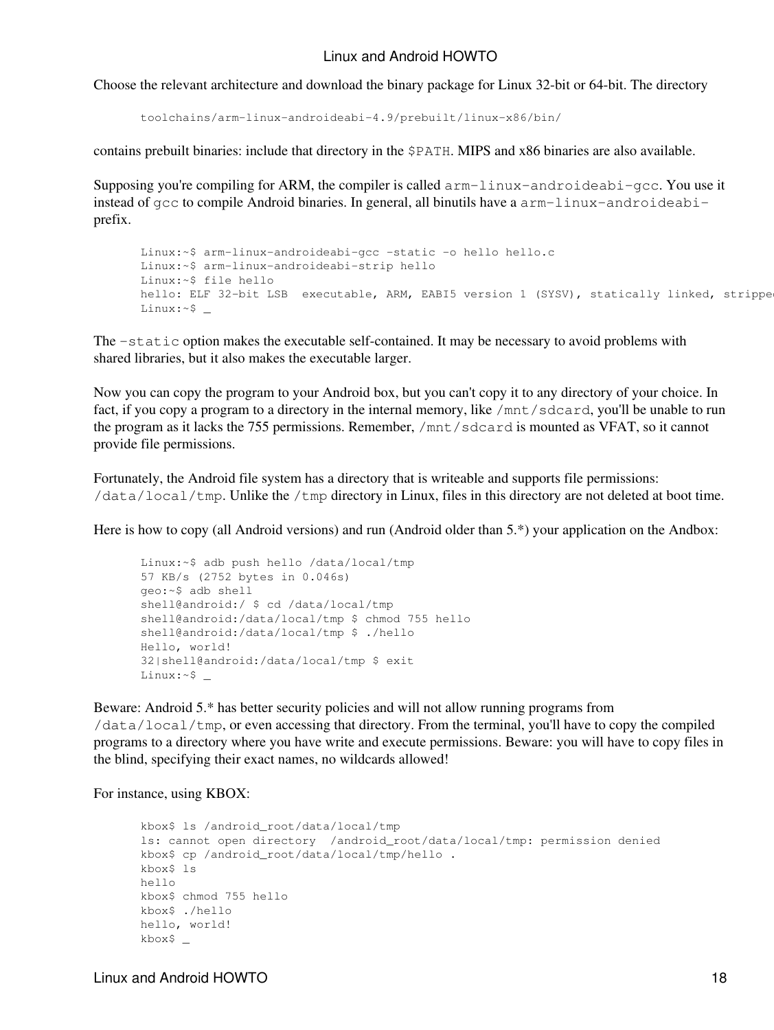Choose the relevant architecture and download the binary package for Linux 32-bit or 64-bit. The directory

toolchains/arm-linux-androideabi-4.9/prebuilt/linux-x86/bin/

contains prebuilt binaries: include that directory in the \$PATH. MIPS and x86 binaries are also available.

Supposing you're compiling for ARM, the compiler is called  $arm-linux-androideabi-qcc$ . You use it instead of  $qcc$  to compile Android binaries. In general, all binutils have a  $arm-limux-androideabi$ prefix.

```
Linux:~$ arm-linux-androideabi-gcc -static -o hello hello.c
Linux:~$ arm-linux-androideabi-strip hello
Linux:~$ file hello
hello: ELF 32-bit LSB executable, ARM, EABI5 version 1 (SYSV), statically linked, strippe
Linux:~$ _
```
The -static option makes the executable self-contained. It may be necessary to avoid problems with shared libraries, but it also makes the executable larger.

Now you can copy the program to your Android box, but you can't copy it to any directory of your choice. In fact, if you copy a program to a directory in the internal memory, like /mnt/sdcard, you'll be unable to run the program as it lacks the 755 permissions. Remember, /mnt/sdcard is mounted as VFAT, so it cannot provide file permissions.

Fortunately, the Android file system has a directory that is writeable and supports file permissions: /data/local/tmp. Unlike the /tmp directory in Linux, files in this directory are not deleted at boot time.

Here is how to copy (all Android versions) and run (Android older than 5.\*) your application on the Andbox:

```
Linux:~$ adb push hello /data/local/tmp
57 KB/s (2752 bytes in 0.046s)
geo:~$ adb shell
shell@android:/ $ cd /data/local/tmp
shell@android:/data/local/tmp $ chmod 755 hello
shell@android:/data/local/tmp $ ./hello
Hello, world!
32|shell@android:/data/local/tmp $ exit
Linux:~$ _
```
Beware: Android 5.\* has better security policies and will not allow running programs from /data/local/tmp, or even accessing that directory. From the terminal, you'll have to copy the compiled programs to a directory where you have write and execute permissions. Beware: you will have to copy files in the blind, specifying their exact names, no wildcards allowed!

For instance, using KBOX:

```
kbox$ ls /android_root/data/local/tmp
ls: cannot open directory /android_root/data/local/tmp: permission denied
kbox$ cp /android_root/data/local/tmp/hello .
kbox$ ls
hello
kbox$ chmod 755 hello
kbox$ ./hello
hello, world!
kbox$ _
```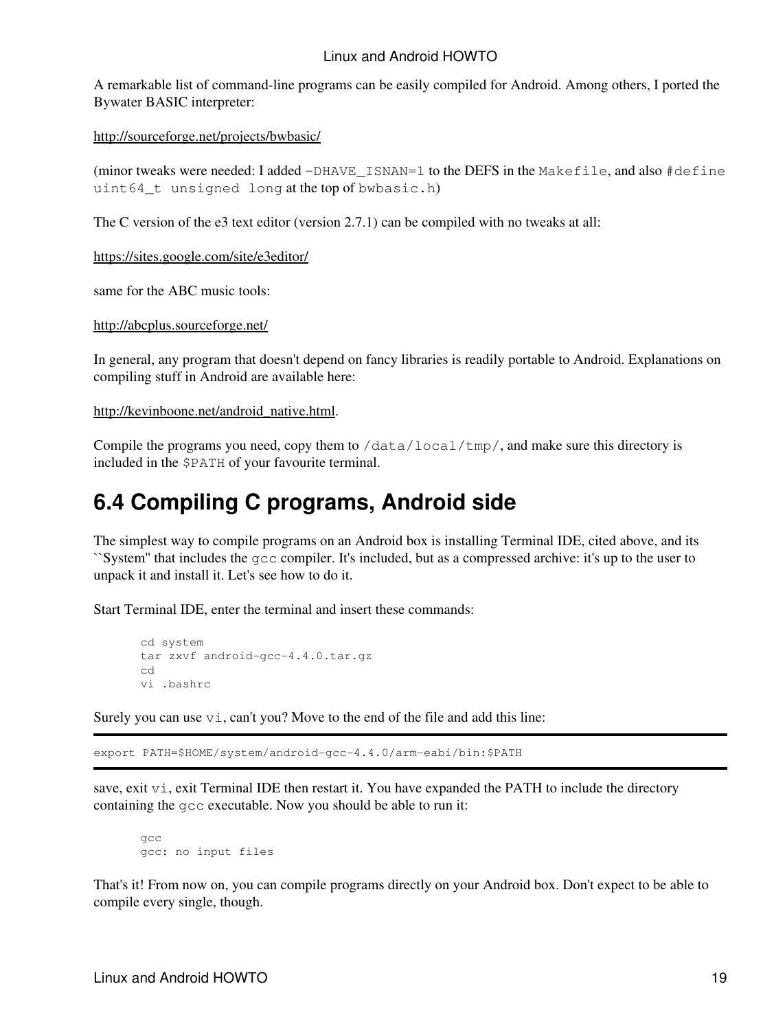A remarkable list of command-line programs can be easily compiled for Android. Among others, I ported the Bywater BASIC interpreter:

http://sourceforge.net/projects/bwbasic/

(minor tweaks were needed: I added  $-DHAVE$  ISNAN=1 to the DEFS in the Makefile, and also  $\# \text{define}$ uint64\_t unsigned long at the top of bwbasic.h)

The C version of the e3 text editor (version 2.7.1) can be compiled with no tweaks at all:

https://sites.google.com/site/e3editor/

same for the ABC music tools:

http://abcplus.sourceforge.net/

In general, any program that doesn't depend on fancy libraries is readily portable to Android. Explanations on compiling stuff in Android are available here:

http://kevinboone.net/android\_native.html.

Compile the programs you need, copy them to  $\delta$  /data/local/tmp/, and make sure this directory is included in the \$PATH of your favourite terminal.

### **6.4 Compiling C programs, Android side**

The simplest way to compile programs on an Android box is installing Terminal IDE, cited above, and its ``System'' that includes the gcc compiler. It's included, but as a compressed archive: it's up to the user to unpack it and install it. Let's see how to do it.

Start Terminal IDE, enter the terminal and insert these commands:

```
cd system
tar zxvf android-gcc-4.4.0.tar.gz
cd
vi .bashrc
```
Surely you can use  $\forall i$ , can't you? Move to the end of the file and add this line:

export PATH=\$HOME/system/android-gcc-4.4.0/arm-eabi/bin:\$PATH

save, exit vi, exit Terminal IDE then restart it. You have expanded the PATH to include the directory containing the gcc executable. Now you should be able to run it:

gcc gcc: no input files

That's it! From now on, you can compile programs directly on your Android box. Don't expect to be able to compile every single, though.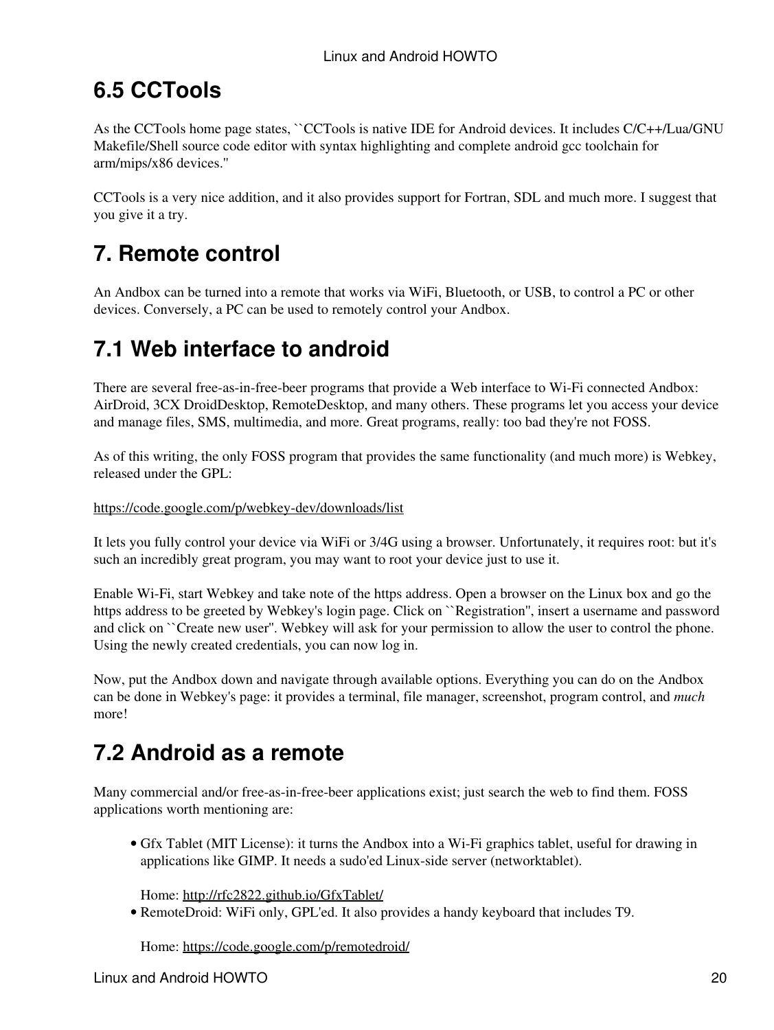# **6.5 CCTools**

As the CCTools home page states, ``CCTools is native IDE for Android devices. It includes C/C++/Lua/GNU Makefile/Shell source code editor with syntax highlighting and complete android gcc toolchain for arm/mips/x86 devices.''

CCTools is a very nice addition, and it also provides support for Fortran, SDL and much more. I suggest that you give it a try.

# **7. Remote control**

An Andbox can be turned into a remote that works via WiFi, Bluetooth, or USB, to control a PC or other devices. Conversely, a PC can be used to remotely control your Andbox.

# **7.1 Web interface to android**

There are several free-as-in-free-beer programs that provide a Web interface to Wi-Fi connected Andbox: AirDroid, 3CX DroidDesktop, RemoteDesktop, and many others. These programs let you access your device and manage files, SMS, multimedia, and more. Great programs, really: too bad they're not FOSS.

As of this writing, the only FOSS program that provides the same functionality (and much more) is Webkey, released under the GPL:

### https://code.google.com/p/webkey-dev/downloads/list

It lets you fully control your device via WiFi or 3/4G using a browser. Unfortunately, it requires root: but it's such an incredibly great program, you may want to root your device just to use it.

Enable Wi-Fi, start Webkey and take note of the https address. Open a browser on the Linux box and go the https address to be greeted by Webkey's login page. Click on ``Registration'', insert a username and password and click on ``Create new user". Webkey will ask for your permission to allow the user to control the phone. Using the newly created credentials, you can now log in.

Now, put the Andbox down and navigate through available options. Everything you can do on the Andbox can be done in Webkey's page: it provides a terminal, file manager, screenshot, program control, and *much* more!

# **7.2 Android as a remote**

Many commercial and/or free-as-in-free-beer applications exist; just search the web to find them. FOSS applications worth mentioning are:

Gfx Tablet (MIT License): it turns the Andbox into a Wi-Fi graphics tablet, useful for drawing in • applications like GIMP. It needs a sudo'ed Linux-side server (networktablet).

Home: http://rfc2822.github.io/GfxTablet/

RemoteDroid: WiFi only, GPL'ed. It also provides a handy keyboard that includes T9. •

Home: https://code.google.com/p/remotedroid/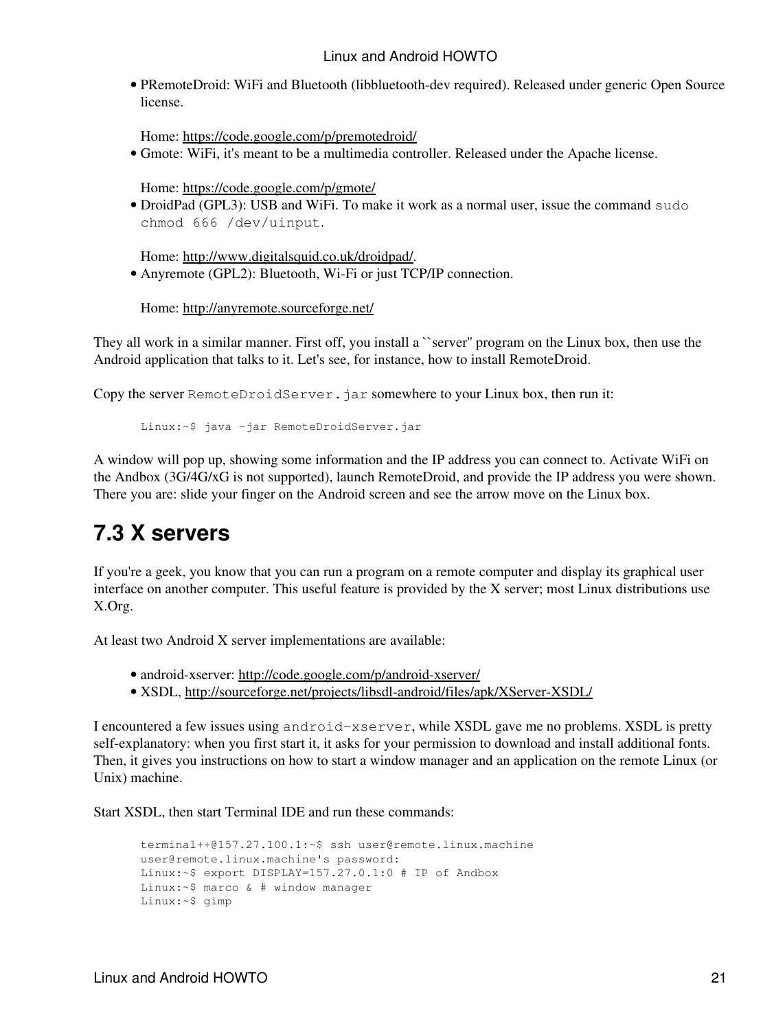PRemoteDroid: WiFi and Bluetooth (libbluetooth-dev required). Released under generic Open Source • license.

Home: https://code.google.com/p/premotedroid/

Gmote: WiFi, it's meant to be a multimedia controller. Released under the Apache license. •

Home: https://code.google.com/p/gmote/

• DroidPad (GPL3): USB and WiFi. To make it work as a normal user, issue the command sudo chmod 666 /dev/uinput.

Home: http://www.digitalsquid.co.uk/droidpad/.

• Anyremote (GPL2): Bluetooth, Wi-Fi or just TCP/IP connection.

Home: http://anyremote.sourceforge.net/

They all work in a similar manner. First off, you install a ``server'' program on the Linux box, then use the Android application that talks to it. Let's see, for instance, how to install RemoteDroid.

Copy the server RemoteDroidServer. jar somewhere to your Linux box, then run it:

Linux:~\$ java -jar RemoteDroidServer.jar

A window will pop up, showing some information and the IP address you can connect to. Activate WiFi on the Andbox (3G/4G/xG is not supported), launch RemoteDroid, and provide the IP address you were shown. There you are: slide your finger on the Android screen and see the arrow move on the Linux box.

## **7.3 X servers**

If you're a geek, you know that you can run a program on a remote computer and display its graphical user interface on another computer. This useful feature is provided by the X server; most Linux distributions use X.Org.

At least two Android X server implementations are available:

- android-xserver: http://code.google.com/p/android-xserver/
- XSDL, http://sourceforge.net/projects/libsdl-android/files/apk/XServer-XSDL/

I encountered a few issues using android-xserver, while XSDL gave me no problems. XSDL is pretty self-explanatory: when you first start it, it asks for your permission to download and install additional fonts. Then, it gives you instructions on how to start a window manager and an application on the remote Linux (or Unix) machine.

Start XSDL, then start Terminal IDE and run these commands:

```
terminal++@157.27.100.1:~$ ssh user@remote.linux.machine
user@remote.linux.machine's password:
Linux:~$ export DISPLAY=157.27.0.1:0 # IP of Andbox
Linux:~$ marco & # window manager
Linux:~$ gimp
```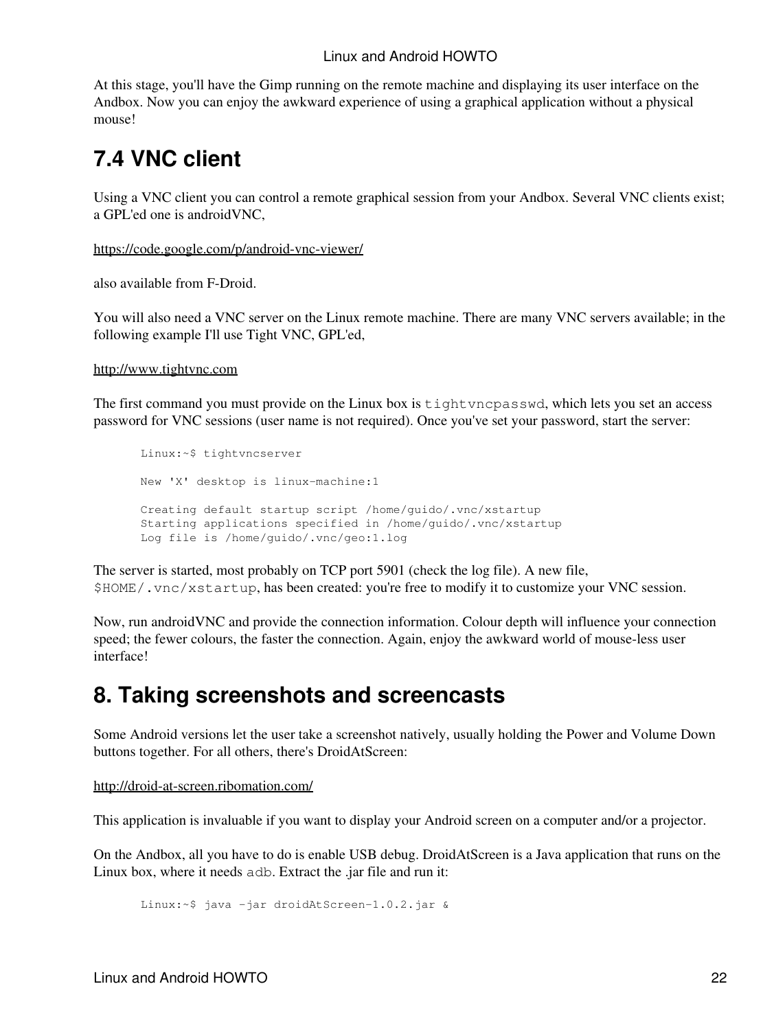At this stage, you'll have the Gimp running on the remote machine and displaying its user interface on the Andbox. Now you can enjoy the awkward experience of using a graphical application without a physical mouse!

# **7.4 VNC client**

Using a VNC client you can control a remote graphical session from your Andbox. Several VNC clients exist; a GPL'ed one is androidVNC,

https://code.google.com/p/android-vnc-viewer/

also available from F-Droid.

You will also need a VNC server on the Linux remote machine. There are many VNC servers available; in the following example I'll use Tight VNC, GPL'ed,

http://www.tightvnc.com

The first command you must provide on the Linux box is tightvncpasswd, which lets you set an access password for VNC sessions (user name is not required). Once you've set your password, start the server:

```
Linux:~$ tightvncserver 
New 'X' desktop is linux-machine:1
Creating default startup script /home/guido/.vnc/xstartup
Starting applications specified in /home/guido/.vnc/xstartup
Log file is /home/guido/.vnc/geo:1.log
```
The server is started, most probably on TCP port 5901 (check the log file). A new file, \$HOME/.vnc/xstartup, has been created: you're free to modify it to customize your VNC session.

Now, run androidVNC and provide the connection information. Colour depth will influence your connection speed; the fewer colours, the faster the connection. Again, enjoy the awkward world of mouse-less user interface!

## **8. Taking screenshots and screencasts**

Some Android versions let the user take a screenshot natively, usually holding the Power and Volume Down buttons together. For all others, there's DroidAtScreen:

http://droid-at-screen.ribomation.com/

This application is invaluable if you want to display your Android screen on a computer and/or a projector.

On the Andbox, all you have to do is enable USB debug. DroidAtScreen is a Java application that runs on the Linux box, where it needs adb. Extract the .jar file and run it:

Linux:~\$ java -jar droidAtScreen-1.0.2.jar &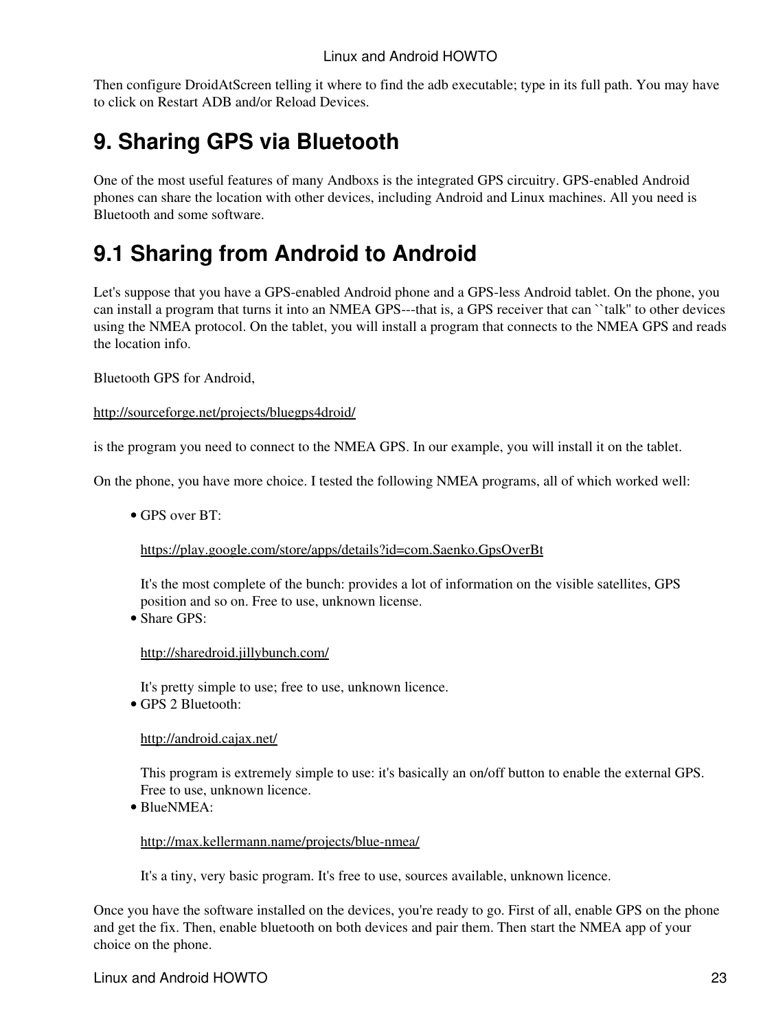Then configure DroidAtScreen telling it where to find the adb executable; type in its full path. You may have to click on Restart ADB and/or Reload Devices.

## **9. Sharing GPS via Bluetooth**

One of the most useful features of many Andboxs is the integrated GPS circuitry. GPS-enabled Android phones can share the location with other devices, including Android and Linux machines. All you need is Bluetooth and some software.

# **9.1 Sharing from Android to Android**

Let's suppose that you have a GPS-enabled Android phone and a GPS-less Android tablet. On the phone, you can install a program that turns it into an NMEA GPS---that is, a GPS receiver that can ``talk'' to other devices using the NMEA protocol. On the tablet, you will install a program that connects to the NMEA GPS and reads the location info.

Bluetooth GPS for Android,

http://sourceforge.net/projects/bluegps4droid/

is the program you need to connect to the NMEA GPS. In our example, you will install it on the tablet.

On the phone, you have more choice. I tested the following NMEA programs, all of which worked well:

GPS over BT: •

https://play.google.com/store/apps/details?id=com.Saenko.GpsOverBt

It's the most complete of the bunch: provides a lot of information on the visible satellites, GPS position and so on. Free to use, unknown license.

• Share GPS:

http://sharedroid.jillybunch.com/

It's pretty simple to use; free to use, unknown licence.

• GPS 2 Bluetooth:

http://android.cajax.net/

This program is extremely simple to use: it's basically an on/off button to enable the external GPS. Free to use, unknown licence.

BlueNMEA: •

http://max.kellermann.name/projects/blue-nmea/

It's a tiny, very basic program. It's free to use, sources available, unknown licence.

Once you have the software installed on the devices, you're ready to go. First of all, enable GPS on the phone and get the fix. Then, enable bluetooth on both devices and pair them. Then start the NMEA app of your choice on the phone.